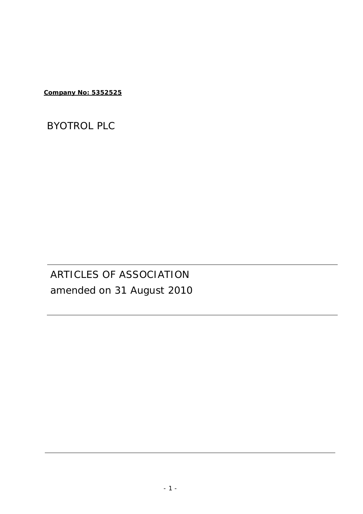**Company No: 5352525** 

# BYOTROL PLC

# ARTICLES OF ASSOCIATION amended on 31 August 2010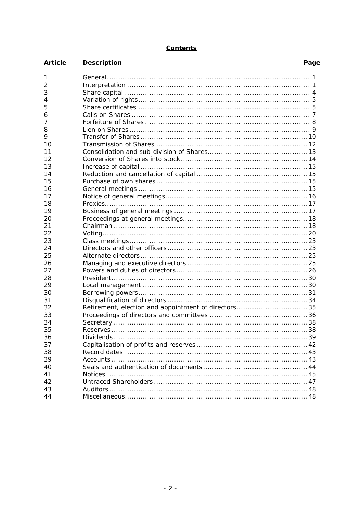# **Contents**

| <b>Article</b> | <b>Description</b>                                  | Page |
|----------------|-----------------------------------------------------|------|
| 1              |                                                     |      |
| 2              |                                                     |      |
| 3              |                                                     |      |
| 4              |                                                     |      |
| 5              |                                                     |      |
| 6              |                                                     |      |
| 7              |                                                     |      |
| 8              |                                                     |      |
| 9              |                                                     |      |
| 10             |                                                     |      |
| 11             |                                                     |      |
| 12             |                                                     |      |
| 13             |                                                     |      |
| 14             |                                                     |      |
| 15             |                                                     |      |
| 16             |                                                     |      |
| 17             |                                                     |      |
| 18             |                                                     |      |
| 19             |                                                     |      |
| 20             |                                                     |      |
| 21             |                                                     |      |
| 22             |                                                     |      |
| 23             |                                                     |      |
| 24             |                                                     |      |
| 25             |                                                     |      |
| 26             |                                                     |      |
| 27             |                                                     |      |
| 28             |                                                     |      |
| 29             |                                                     |      |
| 30             |                                                     |      |
| 31             |                                                     |      |
| 32             | Retirement, election and appointment of directors35 |      |
| 33             |                                                     |      |
| 34             |                                                     |      |
| 35             |                                                     |      |
| 36             |                                                     |      |
| 37             |                                                     |      |
| 38             |                                                     |      |
| 39             |                                                     |      |
|                |                                                     |      |
| 40             |                                                     |      |
| 41             |                                                     |      |
| 42             |                                                     |      |
| 43             |                                                     |      |
| 44             |                                                     |      |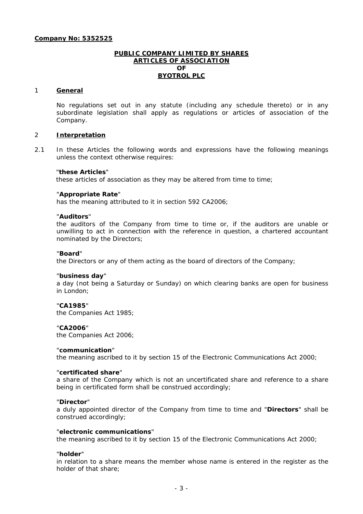## **PUBLIC COMPANY LIMITED BY SHARES ARTICLES OF ASSOCIATION OF BYOTROL PLC**

## 1 **General**

No regulations set out in any statute (including any schedule thereto) or in any subordinate legislation shall apply as regulations or articles of association of the Company.

## 2 **Interpretation**

2.1 In these Articles the following words and expressions have the following meanings unless the context otherwise requires:

#### "**these Articles**"

these articles of association as they may be altered from time to time;

## "**Appropriate Rate**"

has the meaning attributed to it in section 592 CA2006;

#### "**Auditors**"

the auditors of the Company from time to time or, if the auditors are unable or unwilling to act in connection with the reference in question, a chartered accountant nominated by the Directors;

#### "**Board**"

the Directors or any of them acting as the board of directors of the Company;

#### "**business day**"

a day (not being a Saturday or Sunday) on which clearing banks are open for business in London;

#### "**CA1985**"

the Companies Act 1985;

#### "**CA2006**"

the Companies Act 2006;

#### "**communication**"

the meaning ascribed to it by section 15 of the Electronic Communications Act 2000;

## "**certificated share**"

a share of the Company which is not an uncertificated share and reference to a share being in certificated form shall be construed accordingly;

#### "**Director**"

a duly appointed director of the Company from time to time and "**Directors**" shall be construed accordingly;

#### "**electronic communications**"

the meaning ascribed to it by section 15 of the Electronic Communications Act 2000;

#### "**holder**"

in relation to a share means the member whose name is entered in the register as the holder of that share;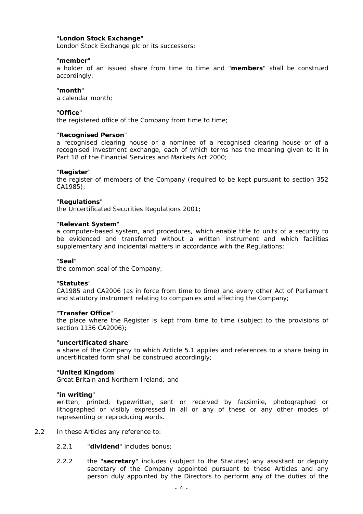# "**London Stock Exchange**"

London Stock Exchange plc or its successors;

#### "**member**"

a holder of an issued share from time to time and "**members**" shall be construed accordingly;

# "**month**"

a calendar month;

#### "**Office**"

the registered office of the Company from time to time;

#### "**Recognised Person**"

a recognised clearing house or a nominee of a recognised clearing house or of a recognised investment exchange, each of which terms has the meaning given to it in Part 18 of the Financial Services and Markets Act 2000;

## "**Register**"

the register of members of the Company (required to be kept pursuant to section 352 CA1985);

#### "**Regulations**"

the Uncertificated Securities Regulations 2001;

#### "**Relevant System**"

a computer-based system, and procedures, which enable title to units of a security to be evidenced and transferred without a written instrument and which facilities supplementary and incidental matters in accordance with the Regulations;

#### "**Seal**"

the common seal of the Company;

#### "**Statutes**"

CA1985 and CA2006 (as in force from time to time) and every other Act of Parliament and statutory instrument relating to companies and affecting the Company;

#### "**Transfer Office**"

the place where the Register is kept from time to time (subject to the provisions of section 1136 CA2006);

#### "**uncertificated share**"

a share of the Company to which Article 5.1 applies and references to a share being in uncertificated form shall be construed accordingly;

#### "**United Kingdom**"

Great Britain and Northern Ireland; and

#### "**in writing**"

written, printed, typewritten, sent or received by facsimile, photographed or lithographed or visibly expressed in all or any of these or any other modes of representing or reproducing words.

- 2.2 In these Articles any reference to:
	- 2.2.1 "**dividend**" includes bonus;
	- 2.2.2 the "**secretary**" includes (subject to the Statutes) any assistant or deputy secretary of the Company appointed pursuant to these Articles and any person duly appointed by the Directors to perform any of the duties of the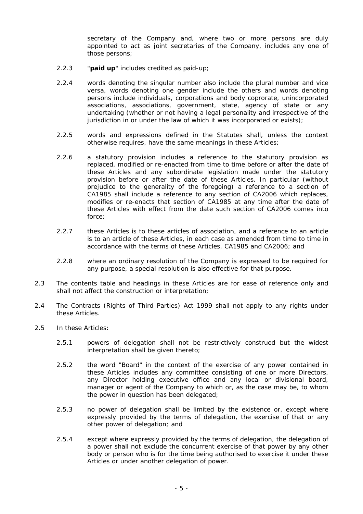secretary of the Company and, where two or more persons are duly appointed to act as joint secretaries of the Company, includes any one of those persons;

- 2.2.3 "**paid up**" includes credited as paid-up;
- 2.2.4 words denoting the singular number also include the plural number and vice versa, words denoting one gender include the others and words denoting persons include individuals, corporations and body coprorate, unincorporated associations, associations, government, state, agency of state or any undertaking (whether or not having a legal personality and irrespective of the jurisdiction in or under the law of which it was incorporated or exists);
- 2.2.5 words and expressions defined in the Statutes shall, unless the context otherwise requires, have the same meanings in these Articles;
- 2.2.6 a statutory provision includes a reference to the statutory provision as replaced, modified or re-enacted from time to time before or after the date of these Articles and any subordinate legislation made under the statutory provision before or after the date of these Articles. In particular (without prejudice to the generality of the foregoing) a reference to a section of CA1985 shall include a reference to any section of CA2006 which replaces, modifies or re-enacts that section of CA1985 at any time after the date of these Articles with effect from the date such section of CA2006 comes into force;
- 2.2.7 these Articles is to these articles of association, and a reference to an article is to an article of these Articles, in each case as amended from time to time in accordance with the terms of these Articles, CA1985 and CA2006; and
- 2.2.8 where an ordinary resolution of the Company is expressed to be required for any purpose, a special resolution is also effective for that purpose.
- 2.3 The contents table and headings in these Articles are for ease of reference only and shall not affect the construction or interpretation;
- 2.4 The Contracts (Rights of Third Parties) Act 1999 shall not apply to any rights under these Articles.
- 2.5 In these Articles:
	- 2.5.1 powers of delegation shall not be restrictively construed but the widest interpretation shall be given thereto;
	- 2.5.2 the word "Board" in the context of the exercise of any power contained in these Articles includes any committee consisting of one or more Directors, any Director holding executive office and any local or divisional board, manager or agent of the Company to which or, as the case may be, to whom the power in question has been delegated;
	- 2.5.3 no power of delegation shall be limited by the existence or, except where expressly provided by the terms of delegation, the exercise of that or any other power of delegation; and
	- 2.5.4 except where expressly provided by the terms of delegation, the delegation of a power shall not exclude the concurrent exercise of that power by any other body or person who is for the time being authorised to exercise it under these Articles or under another delegation of power.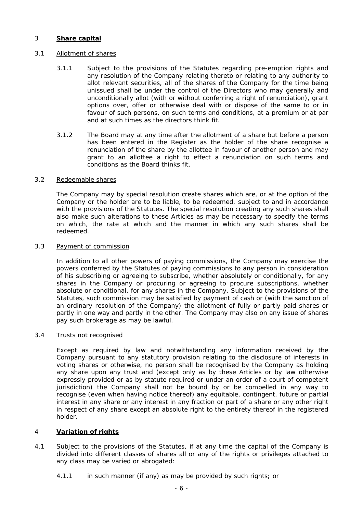# 3 **Share capital**

# 3.1 Allotment of shares

- 3.1.1 Subject to the provisions of the Statutes regarding pre-emption rights and any resolution of the Company relating thereto or relating to any authority to allot relevant securities, all of the shares of the Company for the time being unissued shall be under the control of the Directors who may generally and unconditionally allot (with or without conferring a right of renunciation), grant options over, offer or otherwise deal with or dispose of the same to or in favour of such persons, on such terms and conditions, at a premium or at par and at such times as the directors think fit.
- 3.1.2 The Board may at any time after the allotment of a share but before a person has been entered in the Register as the holder of the share recognise a renunciation of the share by the allottee in favour of another person and may grant to an allottee a right to effect a renunciation on such terms and conditions as the Board thinks fit.

#### 3.2 Redeemable shares

The Company may by special resolution create shares which are, or at the option of the Company or the holder are to be liable, to be redeemed, subject to and in accordance with the provisions of the Statutes. The special resolution creating any such shares shall also make such alterations to these Articles as may be necessary to specify the terms on which, the rate at which and the manner in which any such shares shall be redeemed.

## 3.3 Payment of commission

In addition to all other powers of paying commissions, the Company may exercise the powers conferred by the Statutes of paying commissions to any person in consideration of his subscribing or agreeing to subscribe, whether absolutely or conditionally, for any shares in the Company or procuring or agreeing to procure subscriptions, whether absolute or conditional, for any shares in the Company. Subject to the provisions of the Statutes, such commission may be satisfied by payment of cash or (with the sanction of an ordinary resolution of the Company) the allotment of fully or partly paid shares or partly in one way and partly in the other. The Company may also on any issue of shares pay such brokerage as may be lawful.

#### 3.4 Trusts not recognised

Except as required by law and notwithstanding any information received by the Company pursuant to any statutory provision relating to the disclosure of interests in voting shares or otherwise, no person shall be recognised by the Company as holding any share upon any trust and (except only as by these Articles or by law otherwise expressly provided or as by statute required or under an order of a court of competent jurisdiction) the Company shall not be bound by or be compelled in any way to recognise (even when having notice thereof) any equitable, contingent, future or partial interest in any share or any interest in any fraction or part of a share or any other right in respect of any share except an absolute right to the entirety thereof in the registered holder.

# 4 **Variation of rights**

- 4.1 Subject to the provisions of the Statutes, if at any time the capital of the Company is divided into different classes of shares all or any of the rights or privileges attached to any class may be varied or abrogated:
	- 4.1.1 in such manner (if any) as may be provided by such rights; or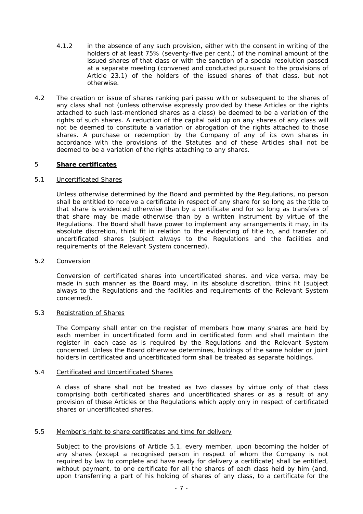- 4.1.2 in the absence of any such provision, either with the consent in writing of the holders of at least 75% (seventy-five per cent.) of the nominal amount of the issued shares of that class or with the sanction of a special resolution passed at a separate meeting (convened and conducted pursuant to the provisions of Article 23.1) of the holders of the issued shares of that class, but not otherwise.
- 4.2 The creation or issue of shares ranking pari passu with or subsequent to the shares of any class shall not (unless otherwise expressly provided by these Articles or the rights attached to such last-mentioned shares as a class) be deemed to be a variation of the rights of such shares. A reduction of the capital paid up on any shares of any class will not be deemed to constitute a variation or abrogation of the rights attached to those shares. A purchase or redemption by the Company of any of its own shares in accordance with the provisions of the Statutes and of these Articles shall not be deemed to be a variation of the rights attaching to any shares.

# 5 **Share certificates**

# 5.1 Uncertificated Shares

Unless otherwise determined by the Board and permitted by the Regulations, no person shall be entitled to receive a certificate in respect of any share for so long as the title to that share is evidenced otherwise than by a certificate and for so long as transfers of that share may be made otherwise than by a written instrument by virtue of the Regulations. The Board shall have power to implement any arrangements it may, in its absolute discretion, think fit in relation to the evidencing of title to, and transfer of, uncertificated shares (subject always to the Regulations and the facilities and requirements of the Relevant System concerned).

# 5.2 Conversion

Conversion of certificated shares into uncertificated shares, and vice versa, may be made in such manner as the Board may, in its absolute discretion, think fit (subject always to the Regulations and the facilities and requirements of the Relevant System concerned).

## 5.3 Registration of Shares

The Company shall enter on the register of members how many shares are held by each member in uncertificated form and in certificated form and shall maintain the register in each case as is required by the Regulations and the Relevant System concerned. Unless the Board otherwise determines, holdings of the same holder or joint holders in certificated and uncertificated form shall be treated as separate holdings.

# 5.4 Certificated and Uncertificated Shares

A class of share shall not be treated as two classes by virtue only of that class comprising both certificated shares and uncertificated shares or as a result of any provision of these Articles or the Regulations which apply only in respect of certificated shares or uncertificated shares.

#### 5.5 Member's right to share certificates and time for delivery

Subject to the provisions of Article 5.1, every member, upon becoming the holder of any shares (except a recognised person in respect of whom the Company is not required by law to complete and have ready for delivery a certificate) shall be entitled, without payment, to one certificate for all the shares of each class held by him (and, upon transferring a part of his holding of shares of any class, to a certificate for the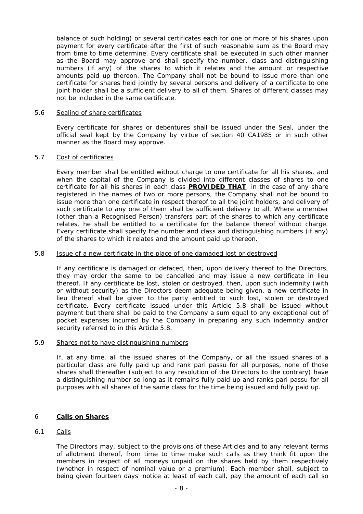balance of such holding) or several certificates each for one or more of his shares upon payment for every certificate after the first of such reasonable sum as the Board may from time to time determine. Every certificate shall be executed in such other manner as the Board may approve and shall specify the number, class and distinguishing numbers (if any) of the shares to which it relates and the amount or respective amounts paid up thereon. The Company shall not be bound to issue more than one certificate for shares held jointly by several persons and delivery of a certificate to one joint holder shall be a sufficient delivery to all of them. Shares of different classes may not be included in the same certificate.

#### 5.6 Sealing of share certificates

Every certificate for shares or debentures shall be issued under the Seal, under the official seal kept by the Company by virtue of section 40 CA1985 or in such other manner as the Board may approve.

# 5.7 Cost of certificates

Every member shall be entitled without charge to one certificate for all his shares, and when the capital of the Company is divided into different classes of shares to one certificate for all his shares in each class **PROVIDED THAT**, in the case of any share registered in the names of two or more persons, the Company shall not be bound to issue more than one certificate in respect thereof to all the joint holders, and delivery of such certificate to any one of them shall be sufficient delivery to all. Where a member (other than a Recognised Person) transfers part of the shares to which any certificate relates, he shall be entitled to a certificate for the balance thereof without charge. Every certificate shall specify the number and class and distinguishing numbers (if any) of the shares to which it relates and the amount paid up thereon.

## 5.8 Issue of a new certificate in the place of one damaged lost or destroyed

If any certificate is damaged or defaced, then, upon delivery thereof to the Directors, they may order the same to be cancelled and may issue a new certificate in lieu thereof. If any certificate be lost, stolen or destroyed, then, upon such indemnity (with or without security) as the Directors deem adequate being given, a new certificate in lieu thereof shall be given to the party entitled to such lost, stolen or destroyed certificate. Every certificate issued under this Article 5.8 shall be issued without payment but there shall be paid to the Company a sum equal to any exceptional out of pocket expenses incurred by the Company in preparing any such indemnity and/or security referred to in this Article 5.8.

#### 5.9 Shares not to have distinguishing numbers

If, at any time, all the issued shares of the Company, or all the issued shares of a particular class are fully paid up and rank pari passu for all purposes, none of those shares shall thereafter (subject to any resolution of the Directors to the contrary) have a distinguishing number so long as it remains fully paid up and ranks pari passu for all purposes with all shares of the same class for the time being issued and fully paid up.

# 6 **Calls on Shares**

# 6.1 Calls

The Directors may, subject to the provisions of these Articles and to any relevant terms of allotment thereof, from time to time make such calls as they think fit upon the members in respect of all moneys unpaid on the shares held by them respectively (whether in respect of nominal value or a premium). Each member shall, subject to being given fourteen days' notice at least of each call, pay the amount of each call so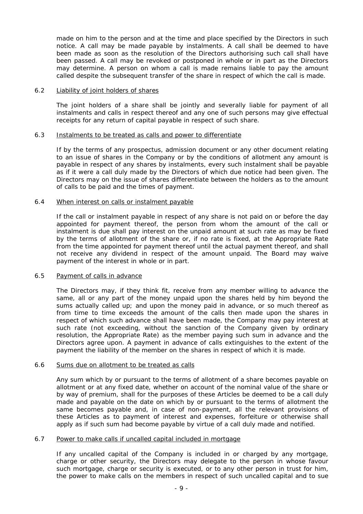made on him to the person and at the time and place specified by the Directors in such notice. A call may be made payable by instalments. A call shall be deemed to have been made as soon as the resolution of the Directors authorising such call shall have been passed. A call may be revoked or postponed in whole or in part as the Directors may determine. A person on whom a call is made remains liable to pay the amount called despite the subsequent transfer of the share in respect of which the call is made.

## 6.2 Liability of joint holders of shares

The joint holders of a share shall be jointly and severally liable for payment of all instalments and calls in respect thereof and any one of such persons may give effectual receipts for any return of capital payable in respect of such share.

## 6.3 Instalments to be treated as calls and power to differentiate

If by the terms of any prospectus, admission document or any other document relating to an issue of shares in the Company or by the conditions of allotment any amount is payable in respect of any shares by instalments, every such instalment shall be payable as if it were a call duly made by the Directors of which due notice had been given. The Directors may on the issue of shares differentiate between the holders as to the amount of calls to be paid and the times of payment.

# 6.4 When interest on calls or instalment payable

If the call or instalment payable in respect of any share is not paid on or before the day appointed for payment thereof, the person from whom the amount of the call or instalment is due shall pay interest on the unpaid amount at such rate as may be fixed by the terms of allotment of the share or, if no rate is fixed, at the Appropriate Rate from the time appointed for payment thereof until the actual payment thereof, and shall not receive any dividend in respect of the amount unpaid. The Board may waive payment of the interest in whole or in part.

#### 6.5 Payment of calls in advance

The Directors may, if they think fit, receive from any member willing to advance the same, all or any part of the money unpaid upon the shares held by him beyond the sums actually called up; and upon the money paid in advance, or so much thereof as from time to time exceeds the amount of the calls then made upon the shares in respect of which such advance shall have been made, the Company may pay interest at such rate (not exceeding, without the sanction of the Company given by ordinary resolution, the Appropriate Rate) as the member paying such sum in advance and the Directors agree upon. A payment in advance of calls extinguishes to the extent of the payment the liability of the member on the shares in respect of which it is made.

#### 6.6 Sums due on allotment to be treated as calls

Any sum which by or pursuant to the terms of allotment of a share becomes payable on allotment or at any fixed date, whether on account of the nominal value of the share or by way of premium, shall for the purposes of these Articles be deemed to be a call duly made and payable on the date on which by or pursuant to the terms of allotment the same becomes payable and, in case of non-payment, all the relevant provisions of these Articles as to payment of interest and expenses, forfeiture or otherwise shall apply as if such sum had become payable by virtue of a call duly made and notified.

#### 6.7 Power to make calls if uncalled capital included in mortgage

If any uncalled capital of the Company is included in or charged by any mortgage, charge or other security, the Directors may delegate to the person in whose favour such mortgage, charge or security is executed, or to any other person in trust for him, the power to make calls on the members in respect of such uncalled capital and to sue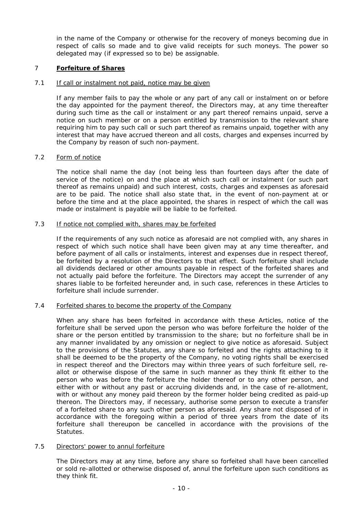in the name of the Company or otherwise for the recovery of moneys becoming due in respect of calls so made and to give valid receipts for such moneys. The power so delegated may (if expressed so to be) be assignable.

# 7 **Forfeiture of Shares**

# 7.1 If call or instalment not paid, notice may be given

If any member fails to pay the whole or any part of any call or instalment on or before the day appointed for the payment thereof, the Directors may, at any time thereafter during such time as the call or instalment or any part thereof remains unpaid, serve a notice on such member or on a person entitled by transmission to the relevant share requiring him to pay such call or such part thereof as remains unpaid, together with any interest that may have accrued thereon and all costs, charges and expenses incurred by the Company by reason of such non-payment.

# 7.2 Form of notice

The notice shall name the day (not being less than fourteen days after the date of service of the notice) on and the place at which such call or instalment (or such part thereof as remains unpaid) and such interest, costs, charges and expenses as aforesaid are to be paid. The notice shall also state that, in the event of non-payment at or before the time and at the place appointed, the shares in respect of which the call was made or instalment is payable will be liable to be forfeited.

# 7.3 If notice not complied with, shares may be forfeited

If the requirements of any such notice as aforesaid are not complied with, any shares in respect of which such notice shall have been given may at any time thereafter, and before payment of all calls or instalments, interest and expenses due in respect thereof, be forfeited by a resolution of the Directors to that effect. Such forfeiture shall include all dividends declared or other amounts payable in respect of the forfeited shares and not actually paid before the forfeiture. The Directors may accept the surrender of any shares liable to be forfeited hereunder and, in such case, references in these Articles to forfeiture shall include surrender.

# 7.4 Forfeited shares to become the property of the Company

When any share has been forfeited in accordance with these Articles, notice of the forfeiture shall be served upon the person who was before forfeiture the holder of the share or the person entitled by transmission to the share; but no forfeiture shall be in any manner invalidated by any omission or neglect to give notice as aforesaid. Subject to the provisions of the Statutes, any share so forfeited and the rights attaching to it shall be deemed to be the property of the Company, no voting rights shall be exercised in respect thereof and the Directors may within three years of such forfeiture sell, reallot or otherwise dispose of the same in such manner as they think fit either to the person who was before the forfeiture the holder thereof or to any other person, and either with or without any past or accruing dividends and, in the case of re-allotment, with or without any money paid thereon by the former holder being credited as paid-up thereon. The Directors may, if necessary, authorise some person to execute a transfer of a forfeited share to any such other person as aforesaid. Any share not disposed of in accordance with the foregoing within a period of three years from the date of its forfeiture shall thereupon be cancelled in accordance with the provisions of the Statutes.

# 7.5 Directors' power to annul forfeiture

The Directors may at any time, before any share so forfeited shall have been cancelled or sold re-allotted or otherwise disposed of, annul the forfeiture upon such conditions as they think fit.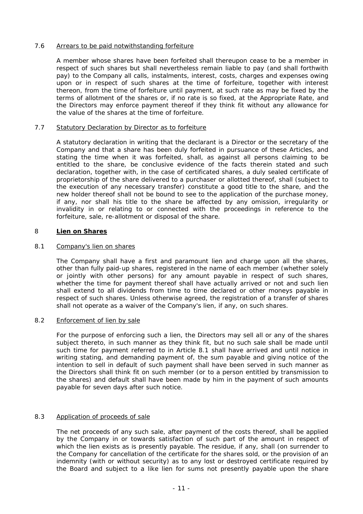# 7.6 Arrears to be paid notwithstanding forfeiture

A member whose shares have been forfeited shall thereupon cease to be a member in respect of such shares but shall nevertheless remain liable to pay (and shall forthwith pay) to the Company all calls, instalments, interest, costs, charges and expenses owing upon or in respect of such shares at the time of forfeiture, together with interest thereon, from the time of forfeiture until payment, at such rate as may be fixed by the terms of allotment of the shares or, if no rate is so fixed, at the Appropriate Rate, and the Directors may enforce payment thereof if they think fit without any allowance for the value of the shares at the time of forfeiture.

# 7.7 Statutory Declaration by Director as to forfeiture

A statutory declaration in writing that the declarant is a Director or the secretary of the Company and that a share has been duly forfeited in pursuance of these Articles, and stating the time when it was forfeited, shall, as against all persons claiming to be entitled to the share, be conclusive evidence of the facts therein stated and such declaration, together with, in the case of certificated shares, a duly sealed certificate of proprietorship of the share delivered to a purchaser or allotted thereof, shall (subject to the execution of any necessary transfer) constitute a good title to the share, and the new holder thereof shall not be bound to see to the application of the purchase money, if any, nor shall his title to the share be affected by any omission, irregularity or invalidity in or relating to or connected with the proceedings in reference to the forfeiture, sale, re-allotment or disposal of the share.

# 8 **Lien on Shares**

# 8.1 Company's lien on shares

The Company shall have a first and paramount lien and charge upon all the shares, other than fully paid-up shares, registered in the name of each member (whether solely or jointly with other persons) for any amount payable in respect of such shares, whether the time for payment thereof shall have actually arrived or not and such lien shall extend to all dividends from time to time declared or other moneys payable in respect of such shares. Unless otherwise agreed, the registration of a transfer of shares shall not operate as a waiver of the Company's lien, if any, on such shares.

# 8.2 Enforcement of lien by sale

For the purpose of enforcing such a lien, the Directors may sell all or any of the shares subject thereto, in such manner as they think fit, but no such sale shall be made until such time for payment referred to in Article 8.1 shall have arrived and until notice in writing stating, and demanding payment of, the sum payable and giving notice of the intention to sell in default of such payment shall have been served in such manner as the Directors shall think fit on such member (or to a person entitled by transmission to the shares) and default shall have been made by him in the payment of such amounts payable for seven days after such notice.

# 8.3 Application of proceeds of sale

The net proceeds of any such sale, after payment of the costs thereof, shall be applied by the Company in or towards satisfaction of such part of the amount in respect of which the lien exists as is presently payable. The residue, if any, shall (on surrender to the Company for cancellation of the certificate for the shares sold, or the provision of an indemnity (with or without security) as to any lost or destroyed certificate required by the Board and subject to a like lien for sums not presently payable upon the share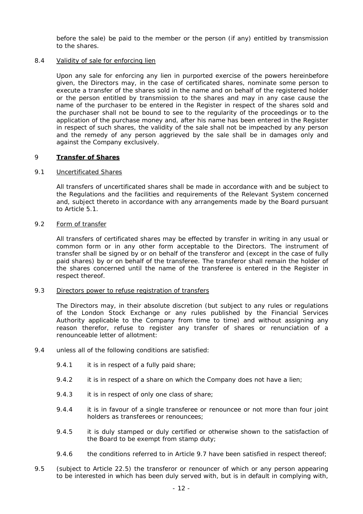before the sale) be paid to the member or the person (if any) entitled by transmission to the shares.

# 8.4 Validity of sale for enforcing lien

Upon any sale for enforcing any lien in purported exercise of the powers hereinbefore given, the Directors may, in the case of certificated shares, nominate some person to execute a transfer of the shares sold in the name and on behalf of the registered holder or the person entitled by transmission to the shares and may in any case cause the name of the purchaser to be entered in the Register in respect of the shares sold and the purchaser shall not be bound to see to the regularity of the proceedings or to the application of the purchase money and, after his name has been entered in the Register in respect of such shares, the validity of the sale shall not be impeached by any person and the remedy of any person aggrieved by the sale shall be in damages only and against the Company exclusively.

# 9 **Transfer of Shares**

# 9.1 Uncertificated Shares

All transfers of uncertificated shares shall be made in accordance with and be subject to the Regulations and the facilities and requirements of the Relevant System concerned and, subject thereto in accordance with any arrangements made by the Board pursuant to Article 5.1.

# 9.2 Form of transfer

All transfers of certificated shares may be effected by transfer in writing in any usual or common form or in any other form acceptable to the Directors. The instrument of transfer shall be signed by or on behalf of the transferor and (except in the case of fully paid shares) by or on behalf of the transferee. The transferor shall remain the holder of the shares concerned until the name of the transferee is entered in the Register in respect thereof.

# 9.3 Directors power to refuse registration of transfers

The Directors may, in their absolute discretion (but subject to any rules or regulations of the London Stock Exchange or any rules published by the Financial Services Authority applicable to the Company from time to time) and without assigning any reason therefor, refuse to register any transfer of shares or renunciation of a renounceable letter of allotment:

- 9.4 unless all of the following conditions are satisfied:
	- 9.4.1 it is in respect of a fully paid share;
	- 9.4.2 it is in respect of a share on which the Company does not have a lien;
	- 9.4.3 it is in respect of only one class of share;
	- 9.4.4 it is in favour of a single transferee or renouncee or not more than four joint holders as transferees or renouncees;
	- 9.4.5 it is duly stamped or duly certified or otherwise shown to the satisfaction of the Board to be exempt from stamp duty;
	- 9.4.6 the conditions referred to in Article 9.7 have been satisfied in respect thereof;
- 9.5 (subject to Article 22.5) the transferor or renouncer of which or any person appearing to be interested in which has been duly served with, but is in default in complying with,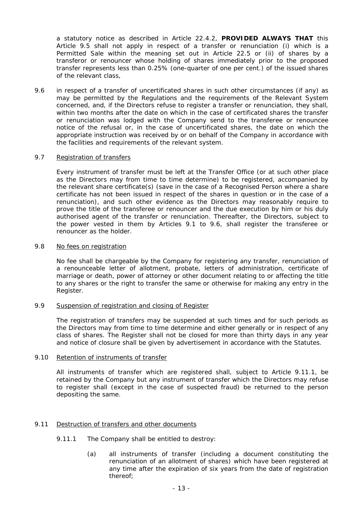a statutory notice as described in Article 22.4.2, **PROVIDED ALWAYS THAT** this Article 9.5 shall not apply in respect of a transfer or renunciation (i) which is a Permitted Sale within the meaning set out in Article 22.5 or (ii) of shares by a transferor or renouncer whose holding of shares immediately prior to the proposed transfer represents less than 0.25% (one-quarter of one per cent.) of the issued shares of the relevant class,

9.6 in respect of a transfer of uncertificated shares in such other circumstances (if any) as may be permitted by the Regulations and the requirements of the Relevant System concerned, and, if the Directors refuse to register a transfer or renunciation, they shall, within two months after the date on which in the case of certificated shares the transfer or renunciation was lodged with the Company send to the transferee or renouncee notice of the refusal or, in the case of uncertificated shares, the date on which the appropriate instruction was received by or on behalf of the Company in accordance with the facilities and requirements of the relevant system.

# 9.7 Registration of transfers

Every instrument of transfer must be left at the Transfer Office (or at such other place as the Directors may from time to time determine) to be registered, accompanied by the relevant share certificate(s) (save in the case of a Recognised Person where a share certificate has not been issued in respect of the shares in question or in the case of a renunciation), and such other evidence as the Directors may reasonably require to prove the title of the transferee or renouncer and the due execution by him or his duly authorised agent of the transfer or renunciation. Thereafter, the Directors, subject to the power vested in them by Articles 9.1 to 9.6, shall register the transferee or renouncer as the holder.

## 9.8 No fees on registration

No fee shall be chargeable by the Company for registering any transfer, renunciation of a renounceable letter of allotment, probate, letters of administration, certificate of marriage or death, power of attorney or other document relating to or affecting the title to any shares or the right to transfer the same or otherwise for making any entry in the Register.

# 9.9 Suspension of registration and closing of Register

The registration of transfers may be suspended at such times and for such periods as the Directors may from time to time determine and either generally or in respect of any class of shares. The Register shall not be closed for more than thirty days in any year and notice of closure shall be given by advertisement in accordance with the Statutes.

# 9.10 Retention of instruments of transfer

All instruments of transfer which are registered shall, subject to Article 9.11.1, be retained by the Company but any instrument of transfer which the Directors may refuse to register shall (except in the case of suspected fraud) be returned to the person depositing the same.

# 9.11 Destruction of transfers and other documents

- 9.11.1 The Company shall be entitled to destroy:
	- (a) all instruments of transfer (including a document constituting the renunciation of an allotment of shares) which have been registered at any time after the expiration of six years from the date of registration thereof;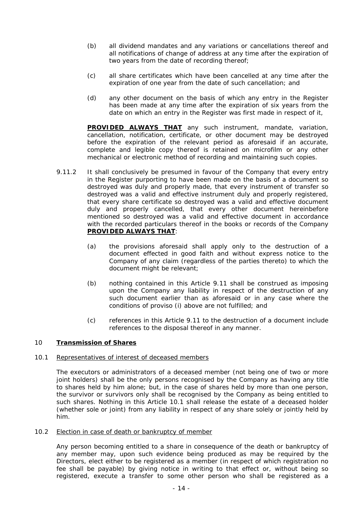- (b) all dividend mandates and any variations or cancellations thereof and all notifications of change of address at any time after the expiration of two years from the date of recording thereof;
- (c) all share certificates which have been cancelled at any time after the expiration of one year from the date of such cancellation; and
- (d) any other document on the basis of which any entry in the Register has been made at any time after the expiration of six years from the date on which an entry in the Register was first made in respect of it,

**PROVIDED ALWAYS THAT** any such instrument, mandate, variation, cancellation, notification, certificate, or other document may be destroyed before the expiration of the relevant period as aforesaid if an accurate, complete and legible copy thereof is retained on microfilm or any other mechanical or electronic method of recording and maintaining such copies.

- 9.11.2 It shall conclusively be presumed in favour of the Company that every entry in the Register purporting to have been made on the basis of a document so destroyed was duly and properly made, that every instrument of transfer so destroyed was a valid and effective instrument duly and properly registered, that every share certificate so destroyed was a valid and effective document duly and properly cancelled, that every other document hereinbefore mentioned so destroyed was a valid and effective document in accordance with the recorded particulars thereof in the books or records of the Company **PROVIDED ALWAYS THAT**:
	- (a) the provisions aforesaid shall apply only to the destruction of a document effected in good faith and without express notice to the Company of any claim (regardless of the parties thereto) to which the document might be relevant;
	- (b) nothing contained in this Article 9.11 shall be construed as imposing upon the Company any liability in respect of the destruction of any such document earlier than as aforesaid or in any case where the conditions of proviso (i) above are not fulfilled; and
	- (c) references in this Article 9.11 to the destruction of a document include references to the disposal thereof in any manner.

# 10 **Transmission of Shares**

# 10.1 Representatives of interest of deceased members

The executors or administrators of a deceased member (not being one of two or more joint holders) shall be the only persons recognised by the Company as having any title to shares held by him alone; but, in the case of shares held by more than one person, the survivor or survivors only shall be recognised by the Company as being entitled to such shares. Nothing in this Article 10.1 shall release the estate of a deceased holder (whether sole or joint) from any liability in respect of any share solely or jointly held by him.

# 10.2 Election in case of death or bankruptcy of member

Any person becoming entitled to a share in consequence of the death or bankruptcy of any member may, upon such evidence being produced as may be required by the Directors, elect either to be registered as a member (in respect of which registration no fee shall be payable) by giving notice in writing to that effect or, without being so registered, execute a transfer to some other person who shall be registered as a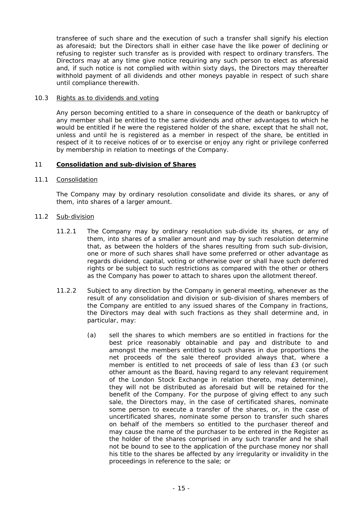transferee of such share and the execution of such a transfer shall signify his election as aforesaid; but the Directors shall in either case have the like power of declining or refusing to register such transfer as is provided with respect to ordinary transfers. The Directors may at any time give notice requiring any such person to elect as aforesaid and, if such notice is not complied with within sixty days, the Directors may thereafter withhold payment of all dividends and other moneys payable in respect of such share until compliance therewith.

## 10.3 Rights as to dividends and voting

Any person becoming entitled to a share in consequence of the death or bankruptcy of any member shall be entitled to the same dividends and other advantages to which he would be entitled if he were the registered holder of the share, except that he shall not, unless and until he is registered as a member in respect of the share, be entitled in respect of it to receive notices of or to exercise or enjoy any right or privilege conferred by membership in relation to meetings of the Company.

## 11 **Consolidation and sub-division of Shares**

## 11.1 Consolidation

The Company may by ordinary resolution consolidate and divide its shares, or any of them, into shares of a larger amount.

## 11.2 Sub-division

- 11.2.1 The Company may by ordinary resolution sub-divide its shares, or any of them, into shares of a smaller amount and may by such resolution determine that, as between the holders of the shares resulting from such sub-division, one or more of such shares shall have some preferred or other advantage as regards dividend, capital, voting or otherwise over or shall have such deferred rights or be subject to such restrictions as compared with the other or others as the Company has power to attach to shares upon the allotment thereof.
- 11.2.2 Subject to any direction by the Company in general meeting, whenever as the result of any consolidation and division or sub-division of shares members of the Company are entitled to any issued shares of the Company in fractions, the Directors may deal with such fractions as they shall determine and, in particular, may:
	- (a) sell the shares to which members are so entitled in fractions for the best price reasonably obtainable and pay and distribute to and amongst the members entitled to such shares in due proportions the net proceeds of the sale thereof provided always that, where a member is entitled to net proceeds of sale of less than £3 (or such other amount as the Board, having regard to any relevant requirement of the London Stock Exchange in relation thereto, may determine), they will not be distributed as aforesaid but will be retained for the benefit of the Company. For the purpose of giving effect to any such sale, the Directors may, in the case of certificated shares, nominate some person to execute a transfer of the shares, or, in the case of uncertificated shares, nominate some person to transfer such shares on behalf of the members so entitled to the purchaser thereof and may cause the name of the purchaser to be entered in the Register as the holder of the shares comprised in any such transfer and he shall not be bound to see to the application of the purchase money nor shall his title to the shares be affected by any irregularity or invalidity in the proceedings in reference to the sale; or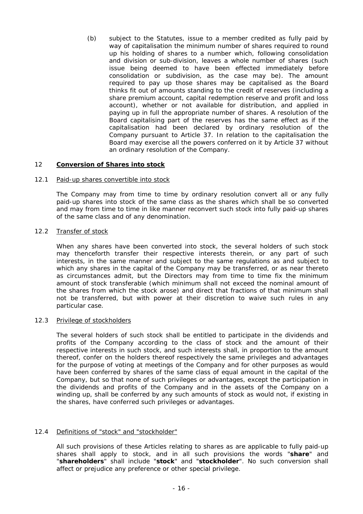(b) subject to the Statutes, issue to a member credited as fully paid by way of capitalisation the minimum number of shares required to round up his holding of shares to a number which, following consolidation and division or sub-division, leaves a whole number of shares (such issue being deemed to have been effected immediately before consolidation or subdivision, as the case may be). The amount required to pay up those shares may be capitalised as the Board thinks fit out of amounts standing to the credit of reserves (including a share premium account, capital redemption reserve and profit and loss account), whether or not available for distribution, and applied in paying up in full the appropriate number of shares. A resolution of the Board capitalising part of the reserves has the same effect as if the capitalisation had been declared by ordinary resolution of the Company pursuant to Article 37. In relation to the capitalisation the Board may exercise all the powers conferred on it by Article 37 without an ordinary resolution of the Company.

# 12 **Conversion of Shares into stock**

#### 12.1 Paid-up shares convertible into stock

The Company may from time to time by ordinary resolution convert all or any fully paid-up shares into stock of the same class as the shares which shall be so converted and may from time to time in like manner reconvert such stock into fully paid-up shares of the same class and of any denomination.

## 12.2 Transfer of stock

When any shares have been converted into stock, the several holders of such stock may thenceforth transfer their respective interests therein, or any part of such interests, in the same manner and subject to the same regulations as and subject to which any shares in the capital of the Company may be transferred, or as near thereto as circumstances admit, but the Directors may from time to time fix the minimum amount of stock transferable (which minimum shall not exceed the nominal amount of the shares from which the stock arose) and direct that fractions of that minimum shall not be transferred, but with power at their discretion to waive such rules in any particular case.

#### 12.3 Privilege of stockholders

The several holders of such stock shall be entitled to participate in the dividends and profits of the Company according to the class of stock and the amount of their respective interests in such stock, and such interests shall, in proportion to the amount thereof, confer on the holders thereof respectively the same privileges and advantages for the purpose of voting at meetings of the Company and for other purposes as would have been conferred by shares of the same class of equal amount in the capital of the Company, but so that none of such privileges or advantages, except the participation in the dividends and profits of the Company and in the assets of the Company on a winding up, shall be conferred by any such amounts of stock as would not, if existing in the shares, have conferred such privileges or advantages.

# 12.4 Definitions of "stock" and "stockholder"

All such provisions of these Articles relating to shares as are applicable to fully paid-up shares shall apply to stock, and in all such provisions the words "**share**" and "**shareholders**" shall include "**stock**" and "**stockholder**". No such conversion shall affect or prejudice any preference or other special privilege.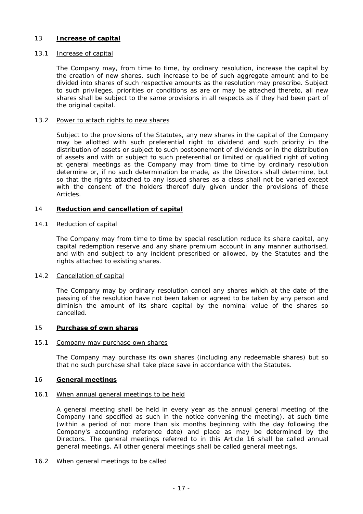# 13 **Increase of capital**

#### 13.1 Increase of capital

The Company may, from time to time, by ordinary resolution, increase the capital by the creation of new shares, such increase to be of such aggregate amount and to be divided into shares of such respective amounts as the resolution may prescribe. Subject to such privileges, priorities or conditions as are or may be attached thereto, all new shares shall be subject to the same provisions in all respects as if they had been part of the original capital.

#### 13.2 Power to attach rights to new shares

Subject to the provisions of the Statutes, any new shares in the capital of the Company may be allotted with such preferential right to dividend and such priority in the distribution of assets or subject to such postponement of dividends or in the distribution of assets and with or subject to such preferential or limited or qualified right of voting at general meetings as the Company may from time to time by ordinary resolution determine or, if no such determination be made, as the Directors shall determine, but so that the rights attached to any issued shares as a class shall not be varied except with the consent of the holders thereof duly given under the provisions of these Articles.

## 14 **Reduction and cancellation of capital**

#### 14.1 Reduction of capital

The Company may from time to time by special resolution reduce its share capital, any capital redemption reserve and any share premium account in any manner authorised, and with and subject to any incident prescribed or allowed, by the Statutes and the rights attached to existing shares.

#### 14.2 Cancellation of capital

The Company may by ordinary resolution cancel any shares which at the date of the passing of the resolution have not been taken or agreed to be taken by any person and diminish the amount of its share capital by the nominal value of the shares so cancelled.

#### 15 **Purchase of own shares**

#### 15.1 Company may purchase own shares

The Company may purchase its own shares (including any redeemable shares) but so that no such purchase shall take place save in accordance with the Statutes.

#### 16 **General meetings**

#### 16.1 When annual general meetings to be held

A general meeting shall be held in every year as the annual general meeting of the Company (and specified as such in the notice convening the meeting), at such time (within a period of not more than six months beginning with the day following the Company's accounting reference date) and place as may be determined by the Directors. The general meetings referred to in this Article 16 shall be called annual general meetings. All other general meetings shall be called general meetings.

#### 16.2 When general meetings to be called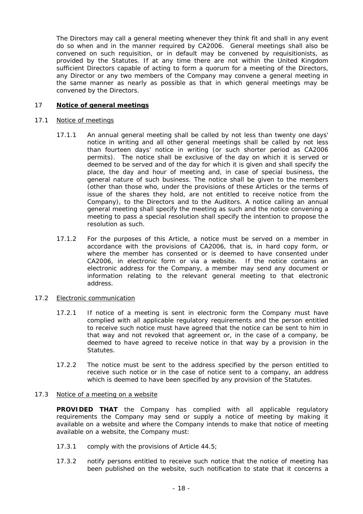The Directors may call a general meeting whenever they think fit and shall in any event do so when and in the manner required by CA2006. General meetings shall also be convened on such requisition, or in default may be convened by requisitionists, as provided by the Statutes. If at any time there are not within the United Kingdom sufficient Directors capable of acting to form a quorum for a meeting of the Directors, any Director or any two members of the Company may convene a general meeting in the same manner as nearly as possible as that in which general meetings may be convened by the Directors.

# 17 **Notice of general meetings**

## 17.1 Notice of meetings

- 17.1.1 An annual general meeting shall be called by not less than twenty one days' notice in writing and all other general meetings shall be called by not less than fourteen days' notice in writing (or such shorter period as CA2006 permits). The notice shall be exclusive of the day on which it is served or deemed to be served and of the day for which it is given and shall specify the place, the day and hour of meeting and, in case of special business, the general nature of such business. The notice shall be given to the members (other than those who, under the provisions of these Articles or the terms of issue of the shares they hold, are not entitled to receive notice from the Company), to the Directors and to the Auditors. A notice calling an annual general meeting shall specify the meeting as such and the notice convening a meeting to pass a special resolution shall specify the intention to propose the resolution as such.
- 17.1.2 For the purposes of this Article, a notice must be served on a member in accordance with the provisions of CA2006, that is, in hard copy form, or where the member has consented or is deemed to have consented under CA2006, in electronic form or via a website. If the notice contains an electronic address for the Company, a member may send any document or information relating to the relevant general meeting to that electronic address.

# 17.2 Electronic communication

- 17.2.1 If notice of a meeting is sent in electronic form the Company must have complied with all applicable regulatory requirements and the person entitled to receive such notice must have agreed that the notice can be sent to him in that way and not revoked that agreement or, in the case of a company, be deemed to have agreed to receive notice in that way by a provision in the Statutes.
- 17.2.2 The notice must be sent to the address specified by the person entitled to receive such notice or in the case of notice sent to a company, an address which is deemed to have been specified by any provision of the Statutes.

# 17.3 Notice of a meeting on a website

**PROVIDED THAT** the Company has complied with all applicable regulatory requirements the Company may send or supply a notice of meeting by making it available on a website and where the Company intends to make that notice of meeting available on a website, the Company must:

- 17.3.1 comply with the provisions of Article 44.5;
- 17.3.2 notify persons entitled to receive such notice that the notice of meeting has been published on the website, such notification to state that it concerns a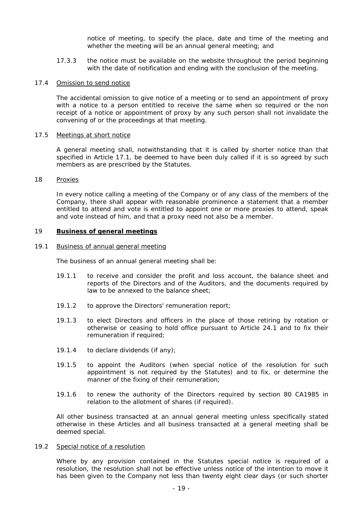notice of meeting, to specify the place, date and time of the meeting and whether the meeting will be an annual general meeting; and

17.3.3 the notice must be available on the website throughout the period beginning with the date of notification and ending with the conclusion of the meeting.

#### 17.4 Omission to send notice

The accidental omission to give notice of a meeting or to send an appointment of proxy with a notice to a person entitled to receive the same when so required or the non receipt of a notice or appointment of proxy by any such person shall not invalidate the convening of or the proceedings at that meeting.

#### 17.5 Meetings at short notice

A general meeting shall, notwithstanding that it is called by shorter notice than that specified in Article 17.1, be deemed to have been duly called if it is so agreed by such members as are prescribed by the Statutes.

#### 18 Proxies

In every notice calling a meeting of the Company or of any class of the members of the Company, there shall appear with reasonable prominence a statement that a member entitled to attend and vote is entitled to appoint one or more proxies to attend, speak and vote instead of him, and that a proxy need not also be a member.

#### 19 **Business of general meetings**

#### 19.1 Business of annual general meeting

The business of an annual general meeting shall be:

- 19.1.1 to receive and consider the profit and loss account, the balance sheet and reports of the Directors and of the Auditors, and the documents required by law to be annexed to the balance sheet;
- 19.1.2 to approve the Directors' remuneration report;
- 19.1.3 to elect Directors and officers in the place of those retiring by rotation or otherwise or ceasing to hold office pursuant to Article 24.1 and to fix their remuneration if required;
- 19.1.4 to declare dividends (if any);
- 19.1.5 to appoint the Auditors (when special notice of the resolution for such appointment is not required by the Statutes) and to fix, or determine the manner of the fixing of their remuneration;
- 19.1.6 to renew the authority of the Directors required by section 80 CA1985 in relation to the allotment of shares (if required).

All other business transacted at an annual general meeting unless specifically stated otherwise in these Articles and all business transacted at a general meeting shall be deemed special.

#### 19.2 Special notice of a resolution

Where by any provision contained in the Statutes special notice is required of a resolution, the resolution shall not be effective unless notice of the intention to move it has been given to the Company not less than twenty eight clear days (or such shorter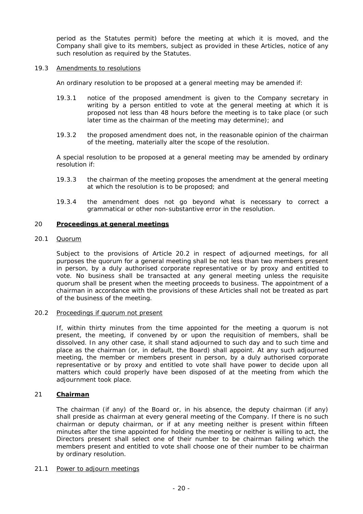period as the Statutes permit) before the meeting at which it is moved, and the Company shall give to its members, subject as provided in these Articles, notice of any such resolution as required by the Statutes.

## 19.3 Amendments to resolutions

An ordinary resolution to be proposed at a general meeting may be amended if:

- 19.3.1 notice of the proposed amendment is given to the Company secretary in writing by a person entitled to vote at the general meeting at which it is proposed not less than 48 hours before the meeting is to take place (or such later time as the chairman of the meeting may determine); and
- 19.3.2 the proposed amendment does not, in the reasonable opinion of the chairman of the meeting, materially alter the scope of the resolution.

A special resolution to be proposed at a general meeting may be amended by ordinary resolution if:

- 19.3.3 the chairman of the meeting proposes the amendment at the general meeting at which the resolution is to be proposed; and
- 19.3.4 the amendment does not go beyond what is necessary to correct a grammatical or other non-substantive error in the resolution.

# 20 **Proceedings at general meetings**

## 20.1 Quorum

Subject to the provisions of Article 20.2 in respect of adjourned meetings, for all purposes the quorum for a general meeting shall be not less than two members present in person, by a duly authorised corporate representative or by proxy and entitled to vote. No business shall be transacted at any general meeting unless the requisite quorum shall be present when the meeting proceeds to business. The appointment of a chairman in accordance with the provisions of these Articles shall not be treated as part of the business of the meeting.

# 20.2 Proceedings if quorum not present

If, within thirty minutes from the time appointed for the meeting a quorum is not present, the meeting, if convened by or upon the requisition of members, shall be dissolved. In any other case, it shall stand adjourned to such day and to such time and place as the chairman (or, in default, the Board) shall appoint. At any such adjourned meeting, the member or members present in person, by a duly authorised corporate representative or by proxy and entitled to vote shall have power to decide upon all matters which could properly have been disposed of at the meeting from which the adjournment took place.

# 21 **Chairman**

The chairman (if any) of the Board or, in his absence, the deputy chairman (if any) shall preside as chairman at every general meeting of the Company. If there is no such chairman or deputy chairman, or if at any meeting neither is present within fifteen minutes after the time appointed for holding the meeting or neither is willing to act, the Directors present shall select one of their number to be chairman failing which the members present and entitled to vote shall choose one of their number to be chairman by ordinary resolution.

# 21.1 Power to adjourn meetings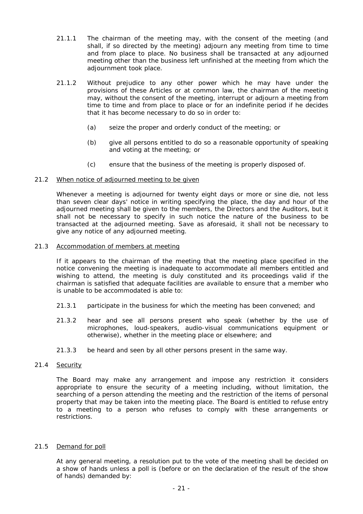- 21.1.1 The chairman of the meeting may, with the consent of the meeting (and shall, if so directed by the meeting) adjourn any meeting from time to time and from place to place. No business shall be transacted at any adjourned meeting other than the business left unfinished at the meeting from which the adjournment took place.
- 21.1.2 Without prejudice to any other power which he may have under the provisions of these Articles or at common law, the chairman of the meeting may, without the consent of the meeting, interrupt or adjourn a meeting from time to time and from place to place or for an indefinite period if he decides that it has become necessary to do so in order to:
	- (a) seize the proper and orderly conduct of the meeting; or
	- (b) give all persons entitled to do so a reasonable opportunity of speaking and voting at the meeting; or
	- (c) ensure that the business of the meeting is properly disposed of.

# 21.2 When notice of adjourned meeting to be given

Whenever a meeting is adjourned for twenty eight days or more or sine die, not less than seven clear days' notice in writing specifying the place, the day and hour of the adjourned meeting shall be given to the members, the Directors and the Auditors, but it shall not be necessary to specify in such notice the nature of the business to be transacted at the adjourned meeting. Save as aforesaid, it shall not be necessary to give any notice of any adjourned meeting.

# 21.3 Accommodation of members at meeting

If it appears to the chairman of the meeting that the meeting place specified in the notice convening the meeting is inadequate to accommodate all members entitled and wishing to attend, the meeting is duly constituted and its proceedings valid if the chairman is satisfied that adequate facilities are available to ensure that a member who is unable to be accommodated is able to:

- 21.3.1 participate in the business for which the meeting has been convened; and
- 21.3.2 hear and see all persons present who speak (whether by the use of microphones, loud-speakers, audio-visual communications equipment or otherwise), whether in the meeting place or elsewhere; and
- 21.3.3 be heard and seen by all other persons present in the same way.

# 21.4 Security

The Board may make any arrangement and impose any restriction it considers appropriate to ensure the security of a meeting including, without limitation, the searching of a person attending the meeting and the restriction of the items of personal property that may be taken into the meeting place. The Board is entitled to refuse entry to a meeting to a person who refuses to comply with these arrangements or restrictions.

# 21.5 Demand for poll

At any general meeting, a resolution put to the vote of the meeting shall be decided on a show of hands unless a poll is (before or on the declaration of the result of the show of hands) demanded by: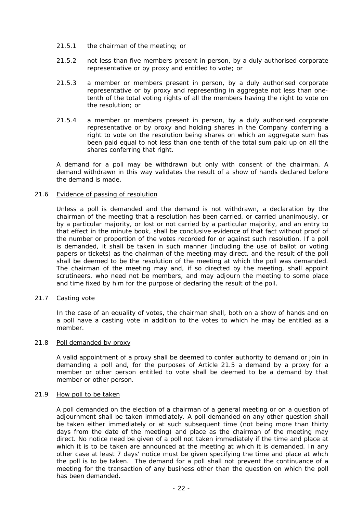- 21.5.1 the chairman of the meeting; or
- 21.5.2 not less than five members present in person, by a duly authorised corporate representative or by proxy and entitled to vote; or
- 21.5.3 a member or members present in person, by a duly authorised corporate representative or by proxy and representing in aggregate not less than onetenth of the total voting rights of all the members having the right to vote on the resolution; or
- 21.5.4 a member or members present in person, by a duly authorised corporate representative or by proxy and holding shares in the Company conferring a right to vote on the resolution being shares on which an aggregate sum has been paid equal to not less than one tenth of the total sum paid up on all the shares conferring that right.

A demand for a poll may be withdrawn but only with consent of the chairman. A demand withdrawn in this way validates the result of a show of hands declared before the demand is made.

#### 21.6 Evidence of passing of resolution

Unless a poll is demanded and the demand is not withdrawn, a declaration by the chairman of the meeting that a resolution has been carried, or carried unanimously, or by a particular majority, or lost or not carried by a particular majority, and an entry to that effect in the minute book, shall be conclusive evidence of that fact without proof of the number or proportion of the votes recorded for or against such resolution. If a poll is demanded, it shall be taken in such manner (including the use of ballot or voting papers or tickets) as the chairman of the meeting may direct, and the result of the poll shall be deemed to be the resolution of the meeting at which the poll was demanded. The chairman of the meeting may and, if so directed by the meeting, shall appoint scrutineers, who need not be members, and may adjourn the meeting to some place and time fixed by him for the purpose of declaring the result of the poll.

# 21.7 Casting vote

In the case of an equality of votes, the chairman shall, both on a show of hands and on a poll have a casting vote in addition to the votes to which he may be entitled as a member.

#### 21.8 Poll demanded by proxy

A valid appointment of a proxy shall be deemed to confer authority to demand or join in demanding a poll and, for the purposes of Article 21.5 a demand by a proxy for a member or other person entitled to vote shall be deemed to be a demand by that member or other person.

#### 21.9 How poll to be taken

A poll demanded on the election of a chairman of a general meeting or on a question of adjournment shall be taken immediately. A poll demanded on any other question shall be taken either immediately or at such subsequent time (not being more than thirty days from the date of the meeting) and place as the chairman of the meeting may direct. No notice need be given of a poll not taken immediately if the time and place at which it is to be taken are announced at the meeting at which it is demanded. In any other case at least 7 days' notice must be given specifying the time and place at whch the poll is to be taken. The demand for a poll shall not prevent the continuance of a meeting for the transaction of any business other than the question on which the poll has been demanded.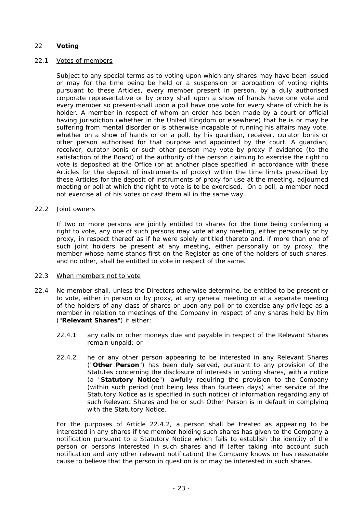# 22 **Voting**

# 22.1 Votes of members

Subject to any special terms as to voting upon which any shares may have been issued or may for the time being be held or a suspension or abrogation of voting rights pursuant to these Articles, every member present in person, by a duly authorised corporate representative or by proxy shall upon a show of hands have one vote and every member so present-shall upon a poll have one vote for every share of which he is holder. A member in respect of whom an order has been made by a court or official having jurisdiction (whether in the United Kingdom or elsewhere) that he is or may be suffering from mental disorder or is otherwise incapable of running his affairs may vote, whether on a show of hands or on a poll, by his guardian, receiver, curator bonis or other person authorised for that purpose and appointed by the court. A guardian, receiver, curator bonis or such other person may vote by proxy if evidence (to the satisfaction of the Board) of the authority of the person claiming to exercise the right to vote is deposited at the Office (or at another place specified in accordance with these Articles for the deposit of instruments of proxy) within the time limits prescribed by these Articles for the deposit of instruments of proxy for use at the meeting, adjourned meeting or poll at which the right to vote is to be exercised. On a poll, a member need not exercise all of his votes or cast them all in the same way.

# 22.2 Joint owners

If two or more persons are jointly entitled to shares for the time being conferring a right to vote, any one of such persons may vote at any meeting, either personally or by proxy, in respect thereof as if he were solely entitled thereto and, if more than one of such joint holders be present at any meeting, either personally or by proxy, the member whose name stands first on the Register as one of the holders of such shares, and no other, shall be entitled to vote in respect of the same.

# 22.3 When members not to vote

- 22.4 No member shall, unless the Directors otherwise determine, be entitled to be present or to vote, either in person or by proxy, at any general meeting or at a separate meeting of the holders of any class of shares or upon any poll or to exercise any privilege as a member in relation to meetings of the Company in respect of any shares held by him ("**Relevant Shares**") if either:
	- 22.4.1 any calls or other moneys due and payable in respect of the Relevant Shares remain unpaid; or
	- 22.4.2 he or any other person appearing to be interested in any Relevant Shares ("**Other Person**") has been duly served, pursuant to any provision of the Statutes concerning the disclosure of interests in voting shares, with a notice (a "**Statutory Notice**") lawfully requiring the provision to the Company (within such period (not being less than fourteen days) after service of the Statutory Notice as is specified in such notice) of information regarding any of such Relevant Shares and he or such Other Person is in default in complying with the Statutory Notice.

For the purposes of Article 22.4.2, a person shall be treated as appearing to be interested in any shares if the member holding such shares has given to the Company a notification pursuant to a Statutory Notice which fails to establish the identity of the person or persons interested in such shares and if (after taking into account such notification and any other relevant notification) the Company knows or has reasonable cause to believe that the person in question is or may be interested in such shares.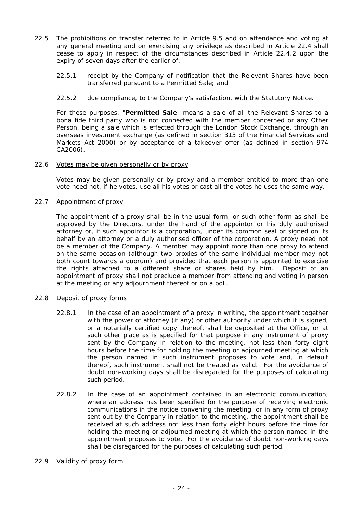- 22.5 The prohibitions on transfer referred to in Article 9.5 and on attendance and voting at any general meeting and on exercising any privilege as described in Article 22.4 shall cease to apply in respect of the circumstances described in Article 22.4.2 upon the expiry of seven days after the earlier of:
	- 22.5.1 receipt by the Company of notification that the Relevant Shares have been transferred pursuant to a Permitted Sale; and
	- 22.5.2 due compliance, to the Company's satisfaction, with the Statutory Notice.

For these purposes, "**Permitted Sale**" means a sale of all the Relevant Shares to a bona fide third party who is not connected with the member concerned or any Other Person, being a sale which is effected through the London Stock Exchange, through an overseas investment exchange (as defined in section 313 of the Financial Services and Markets Act 2000) or by acceptance of a takeover offer (as defined in section 974 CA2006).

## 22.6 Votes may be given personally or by proxy

Votes may be given personally or by proxy and a member entitled to more than one vote need not, if he votes, use all his votes or cast all the votes he uses the same way.

# 22.7 Appointment of proxy

The appointment of a proxy shall be in the usual form, or such other form as shall be approved by the Directors, under the hand of the appointor or his duly authorised attorney or, if such appointor is a corporation, under its common seal or signed on its behalf by an attorney or a duly authorised officer of the corporation. A proxy need not be a member of the Company. A member may appoint more than one proxy to attend on the same occasion (although two proxies of the same individual member may not both count towards a quorum) and provided that each person is appointed to exercise the rights attached to a different share or shares held by him. Deposit of an appointment of proxy shall not preclude a member from attending and voting in person at the meeting or any adjournment thereof or on a poll.

# 22.8 Deposit of proxy forms

- 22.8.1 In the case of an appointment of a proxy in writing, the appointment together with the power of attorney (if any) or other authority under which it is signed, or a notarially certified copy thereof, shall be deposited at the Office, or at such other place as is specified for that purpose in any instrument of proxy sent by the Company in relation to the meeting, not less than forty eight hours before the time for holding the meeting or adjourned meeting at which the person named in such instrument proposes to vote and, in default thereof, such instrument shall not be treated as valid. For the avoidance of doubt non-working days shall be disregarded for the purposes of calculating such period.
- 22.8.2 In the case of an appointment contained in an electronic communication, where an address has been specified for the purpose of receiving electronic communications in the notice convening the meeting, or in any form of proxy sent out by the Company in relation to the meeting, the appointment shall be received at such address not less than forty eight hours before the time for holding the meeting or adjourned meeting at which the person named in the appointment proposes to vote. For the avoidance of doubt non-working days shall be disregarded for the purposes of calculating such period.

#### 22.9 Validity of proxy form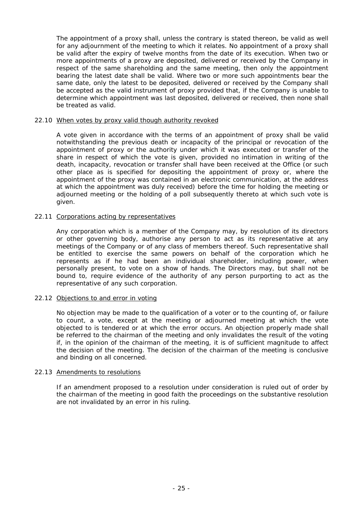The appointment of a proxy shall, unless the contrary is stated thereon, be valid as well for any adjournment of the meeting to which it relates. No appointment of a proxy shall be valid after the expiry of twelve months from the date of its execution. When two or more appointments of a proxy are deposited, delivered or received by the Company in respect of the same shareholding and the same meeting, then only the appointment bearing the latest date shall be valid. Where two or more such appointments bear the same date, only the latest to be deposited, delivered or received by the Company shall be accepted as the valid instrument of proxy provided that, if the Company is unable to determine which appointment was last deposited, delivered or received, then none shall be treated as valid.

#### 22.10 When votes by proxy valid though authority revoked

A vote given in accordance with the terms of an appointment of proxy shall be valid notwithstanding the previous death or incapacity of the principal or revocation of the appointment of proxy or the authority under which it was executed or transfer of the share in respect of which the vote is given, provided no intimation in writing of the death, incapacity, revocation or transfer shall have been received at the Office (or such other place as is specified for depositing the appointment of proxy or, where the appointment of the proxy was contained in an electronic communication, at the address at which the appointment was duly received) before the time for holding the meeting or adjourned meeting or the holding of a poll subsequently thereto at which such vote is given.

## 22.11 Corporations acting by representatives

Any corporation which is a member of the Company may, by resolution of its directors or other governing body, authorise any person to act as its representative at any meetings of the Company or of any class of members thereof. Such representative shall be entitled to exercise the same powers on behalf of the corporation which he represents as if he had been an individual shareholder, including power, when personally present, to vote on a show of hands. The Directors may, but shall not be bound to, require evidence of the authority of any person purporting to act as the representative of any such corporation.

# 22.12 Objections to and error in voting

No objection may be made to the qualification of a voter or to the counting of, or failure to count, a vote, except at the meeting or adjourned meeting at which the vote objected to is tendered or at which the error occurs. An objection properly made shall be referred to the chairman of the meeting and only invalidates the result of the voting if, in the opinion of the chairman of the meeting, it is of sufficient magnitude to affect the decision of the meeting. The decision of the chairman of the meeting is conclusive and binding on all concerned.

# 22.13 Amendments to resolutions

If an amendment proposed to a resolution under consideration is ruled out of order by the chairman of the meeting in good faith the proceedings on the substantive resolution are not invalidated by an error in his ruling.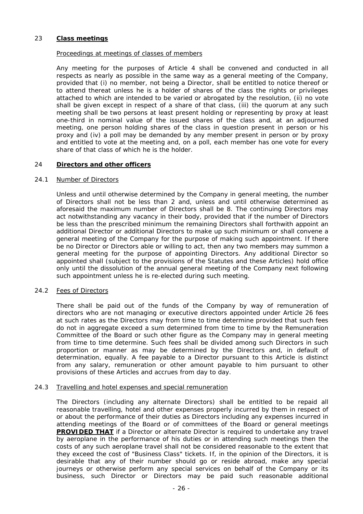# 23 **Class meetings**

# Proceedings at meetings of classes of members

Any meeting for the purposes of Article 4 shall be convened and conducted in all respects as nearly as possible in the same way as a general meeting of the Company, provided that (i) no member, not being a Director, shall be entitled to notice thereof or to attend thereat unless he is a holder of shares of the class the rights or privileges attached to which are intended to be varied or abrogated by the resolution, (ii) no vote shall be given except in respect of a share of that class, (iii) the quorum at any such meeting shall be two persons at least present holding or representing by proxy at least one-third in nominal value of the issued shares of the class and, at an adjourned meeting, one person holding shares of the class in question present in person or his proxy and (iv) a poll may be demanded by any member present in person or by proxy and entitled to vote at the meeting and, on a poll, each member has one vote for every share of that class of which he is the holder.

## 24 **Directors and other officers**

## 24.1 Number of Directors

Unless and until otherwise determined by the Company in general meeting, the number of Directors shall not be less than 2 and, unless and until otherwise determined as aforesaid the maximum number of Directors shall be 8. The continuing Directors may act notwithstanding any vacancy in their body, provided that if the number of Directors be less than the prescribed minimum the remaining Directors shall forthwith appoint an additional Director or additional Directors to make up such minimum or shall convene a general meeting of the Company for the purpose of making such appointment. If there be no Director or Directors able or willing to act, then any two members may summon a general meeting for the purpose of appointing Directors. Any additional Director so appointed shall (subject to the provisions of the Statutes and these Articles) hold office only until the dissolution of the annual general meeting of the Company next following such appointment unless he is re-elected during such meeting.

#### 24.2 Fees of Directors

There shall be paid out of the funds of the Company by way of remuneration of directors who are not managing or executive directors appointed under Article 26 fees at such rates as the Directors may from time to time determine provided that such fees do not in aggregate exceed a sum determined from time to time by the Remuneration Committee of the Board or such other figure as the Company may in general meeting from time to time determine. Such fees shall be divided among such Directors in such proportion or manner as may be determined by the Directors and, in default of determination, equally. A fee payable to a Director pursuant to this Article is distinct from any salary, remuneration or other amount payable to him pursuant to other provisions of these Articles and accrues from day to day.

#### 24.3 Travelling and hotel expenses and special remuneration

The Directors (including any alternate Directors) shall be entitled to be repaid all reasonable travelling, hotel and other expenses properly incurred by them in respect of or about the performance of their duties as Directors including any expenses incurred in attending meetings of the Board or of committees of the Board or general meetings **PROVIDED THAT** if a Director or alternate Director is required to undertake any travel by aeroplane in the performance of his duties or in attending such meetings then the costs of any such aeroplane travel shall not be considered reasonable to the extent that they exceed the cost of "Business Class" tickets. If, in the opinion of the Directors, it is desirable that any of their number should go or reside abroad, make any special journeys or otherwise perform any special services on behalf of the Company or its business, such Director or Directors may be paid such reasonable additional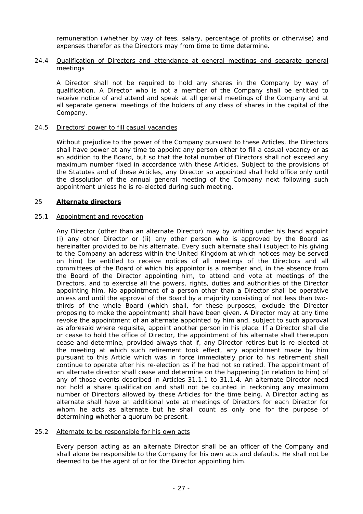remuneration (whether by way of fees, salary, percentage of profits or otherwise) and expenses therefor as the Directors may from time to time determine.

## 24.4 Qualification of Directors and attendance at general meetings and separate general meetings

A Director shall not be required to hold any shares in the Company by way of qualification. A Director who is not a member of the Company shall be entitled to receive notice of and attend and speak at all general meetings of the Company and at all separate general meetings of the holders of any class of shares in the capital of the Company.

## 24.5 Directors' power to fill casual vacancies

Without prejudice to the power of the Company pursuant to these Articles, the Directors shall have power at any time to appoint any person either to fill a casual vacancy or as an addition to the Board, but so that the total number of Directors shall not exceed any maximum number fixed in accordance with these Articles. Subject to the provisions of the Statutes and of these Articles, any Director so appointed shall hold office only until the dissolution of the annual general meeting of the Company next following such appointment unless he is re-elected during such meeting.

# 25 **Alternate directors**

# 25.1 Appointment and revocation

Any Director (other than an alternate Director) may by writing under his hand appoint (i) any other Director or (ii) any other person who is approved by the Board as hereinafter provided to be his alternate. Every such alternate shall (subject to his giving to the Company an address within the United Kingdom at which notices may be served on him) be entitled to receive notices of all meetings of the Directors and all committees of the Board of which his appointor is a member and, in the absence from the Board of the Director appointing him, to attend and vote at meetings of the Directors, and to exercise all the powers, rights, duties and authorities of the Director appointing him. No appointment of a person other than a Director shall be operative unless and until the approval of the Board by a majority consisting of not less than twothirds of the whole Board (which shall, for these purposes, exclude the Director proposing to make the appointment) shall have been given. A Director may at any time revoke the appointment of an alternate appointed by him and, subject to such approval as aforesaid where requisite, appoint another person in his place. If a Director shall die or cease to hold the office of Director, the appointment of his alternate shall thereupon cease and determine, provided always that if, any Director retires but is re-elected at the meeting at which such retirement took effect, any appointment made by him pursuant to this Article which was in force immediately prior to his retirement shall continue to operate after his re-election as if he had not so retired. The appointment of an alternate director shall cease and determine on the happening (in relation to him) of any of those events described in Articles 31.1.1 to 31.1.4. An alternate Director need not hold a share qualification and shall not be counted in reckoning any maximum number of Directors allowed by these Articles for the time being. A Director acting as alternate shall have an additional vote at meetings of Directors for each Director for whom he acts as alternate but he shall count as only one for the purpose of determining whether a quorum be present.

#### 25.2 Alternate to be responsible for his own acts

Every person acting as an alternate Director shall be an officer of the Company and shall alone be responsible to the Company for his own acts and defaults. He shall not be deemed to be the agent of or for the Director appointing him.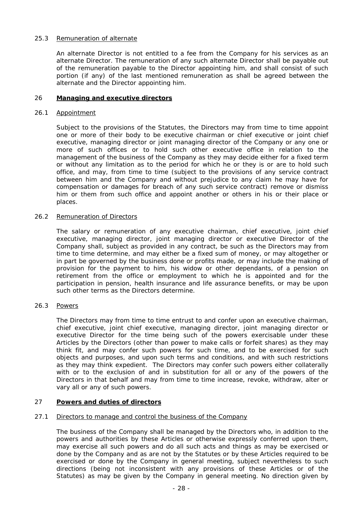# 25.3 Remuneration of alternate

An alternate Director is not entitled to a fee from the Company for his services as an alternate Director. The remuneration of any such alternate Director shall be payable out of the remuneration payable to the Director appointing him, and shall consist of such portion (if any) of the last mentioned remuneration as shall be agreed between the alternate and the Director appointing him.

# 26 **Managing and executive directors**

# 26.1 Appointment

Subject to the provisions of the Statutes, the Directors may from time to time appoint one or more of their body to be executive chairman or chief executive or joint chief executive, managing director or joint managing director of the Company or any one or more of such offices or to hold such other executive office in relation to the management of the business of the Company as they may decide either for a fixed term or without any limitation as to the period for which he or they is or are to hold such office, and may, from time to time (subject to the provisions of any service contract between him and the Company and without prejudice to any claim he may have for compensation or damages for breach of any such service contract) remove or dismiss him or them from such office and appoint another or others in his or their place or places.

# 26.2 Remuneration of Directors

The salary or remuneration of any executive chairman, chief executive, joint chief executive, managing director, joint managing director or executive Director of the Company shall, subject as provided in any contract, be such as the Directors may from time to time determine, and may either be a fixed sum of money, or may altogether or in part be governed by the business done or profits made, or may include the making of provision for the payment to him, his widow or other dependants, of a pension on retirement from the office or employment to which he is appointed and for the participation in pension, health insurance and life assurance benefits, or may be upon such other terms as the Directors determine.

# 26.3 Powers

The Directors may from time to time entrust to and confer upon an executive chairman, chief executive, joint chief executive, managing director, joint managing director or executive Director for the time being such of the powers exercisable under these Articles by the Directors (other than power to make calls or forfeit shares) as they may think fit, and may confer such powers for such time, and to be exercised for such objects and purposes, and upon such terms and conditions, and with such restrictions as they may think expedient. The Directors may confer such powers either collaterally with or to the exclusion of and in substitution for all or any of the powers of the Directors in that behalf and may from time to time increase, revoke, withdraw, alter or vary all or any of such powers.

# 27 **Powers and duties of directors**

# 27.1 Directors to manage and control the business of the Company

The business of the Company shall be managed by the Directors who, in addition to the powers and authorities by these Articles or otherwise expressly conferred upon them, may exercise all such powers and do all such acts and things as may be exercised or done by the Company and as are not by the Statutes or by these Articles required to be exercised or done by the Company in general meeting, subject nevertheless to such directions (being not inconsistent with any provisions of these Articles or of the Statutes) as may be given by the Company in general meeting. No direction given by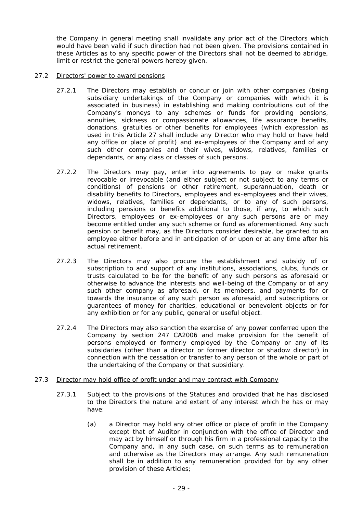the Company in general meeting shall invalidate any prior act of the Directors which would have been valid if such direction had not been given. The provisions contained in these Articles as to any specific power of the Directors shall not be deemed to abridge, limit or restrict the general powers hereby given.

## 27.2 Directors' power to award pensions

- 27.2.1 The Directors may establish or concur or join with other companies (being subsidiary undertakings of the Company or companies with which it is associated in business) in establishing and making contributions out of the Company's moneys to any schemes or funds for providing pensions, annuities, sickness or compassionate allowances, life assurance benefits, donations, gratuities or other benefits for employees (which expression as used in this Article 27 shall include any Director who may hold or have held any office or place of profit) and ex-employees of the Company and of any such other companies and their wives, widows, relatives, families or dependants, or any class or classes of such persons.
- 27.2.2 The Directors may pay, enter into agreements to pay or make grants revocable or irrevocable (and either subject or not subject to any terms or conditions) of pensions or other retirement, superannuation, death or disability benefits to Directors, employees and ex-employees and their wives, widows, relatives, families or dependants, or to any of such persons, including pensions or benefits additional to those, if any, to which such Directors, employees or ex-employees or any such persons are or may become entitled under any such scheme or fund as aforementioned. Any such pension or benefit may, as the Directors consider desirable, be granted to an employee either before and in anticipation of or upon or at any time after his actual retirement.
- 27.2.3 The Directors may also procure the establishment and subsidy of or subscription to and support of any institutions, associations, clubs, funds or trusts calculated to be for the benefit of any such persons as aforesaid or otherwise to advance the interests and well-being of the Company or of any such other company as aforesaid, or its members, and payments for or towards the insurance of any such person as aforesaid, and subscriptions or guarantees of money for charities, educational or benevolent objects or for any exhibition or for any public, general or useful object.
- 27.2.4 The Directors may also sanction the exercise of any power conferred upon the Company by section 247 CA2006 and make provision for the benefit of persons employed or formerly employed by the Company or any of its subsidaries (other than a director or former director or shadow director) in connection with the cessation or transfer to any person of the whole or part of the undertaking of the Company or that subsidiary.
- 27.3 Director may hold office of profit under and may contract with Company
	- 27.3.1 Subject to the provisions of the Statutes and provided that he has disclosed to the Directors the nature and extent of any interest which he has or may have:
		- (a) a Director may hold any other office or place of profit in the Company except that of Auditor in conjunction with the office of Director and may act by himself or through his firm in a professional capacity to the Company and, in any such case, on such terms as to remuneration and otherwise as the Directors may arrange. Any such remuneration shall be in addition to any remuneration provided for by any other provision of these Articles;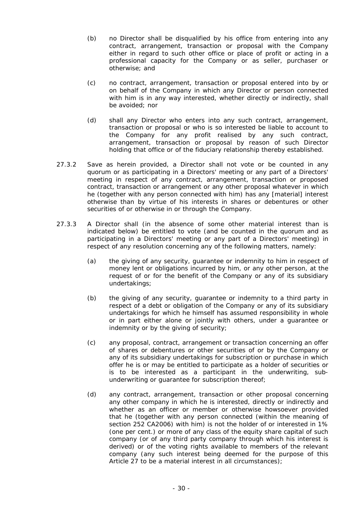- (b) no Director shall be disqualified by his office from entering into any contract, arrangement, transaction or proposal with the Company either in regard to such other office or place of profit or acting in a professional capacity for the Company or as seller, purchaser or otherwise; and
- (c) no contract, arrangement, transaction or proposal entered into by or on behalf of the Company in which any Director or person connected with him is in any way interested, whether directly or indirectly, shall be avoided; nor
- (d) shall any Director who enters into any such contract, arrangement, transaction or proposal or who is so interested be liable to account to the Company for any profit realised by any such contract, arrangement, transaction or proposal by reason of such Director holding that office or of the fiduciary relationship thereby established.
- 27.3.2 Save as herein provided, a Director shall not vote or be counted in any quorum or as participating in a Directors' meeting or any part of a Directors' meeting in respect of any contract, arrangement, transaction or proposed contract, transaction or arrangement or any other proposal whatever in which he (together with any person connected with him) has any [material] interest otherwise than by virtue of his interests in shares or debentures or other securities of or otherwise in or through the Company.
- 27.3.3 A Director shall (in the absence of some other material interest than is indicated below) be entitled to vote (and be counted in the quorum and as participating in a Directors' meeting or any part of a Directors' meeting) in respect of any resolution concerning any of the following matters, namely:
	- (a) the giving of any security, guarantee or indemnity to him in respect of money lent or obligations incurred by him, or any other person, at the request of or for the benefit of the Company or any of its subsidiary undertakings;
	- (b) the giving of any security, guarantee or indemnity to a third party in respect of a debt or obligation of the Company or any of its subsidiary undertakings for which he himself has assumed responsibility in whole or in part either alone or jointly with others, under a guarantee or indemnity or by the giving of security;
	- (c) any proposal, contract, arrangement or transaction concerning an offer of shares or debentures or other securities of or by the Company or any of its subsidiary undertakings for subscription or purchase in which offer he is or may be entitled to participate as a holder of securities or is to be interested as a participant in the underwriting, subunderwriting or guarantee for subscription thereof;
	- (d) any contract, arrangement, transaction or other proposal concerning any other company in which he is interested, directly or indirectly and whether as an officer or member or otherwise howsoever provided that he (together with any person connected (within the meaning of section 252 CA2006) with him) is not the holder of or interested in 1% (one per cent.) or more of any class of the equity share capital of such company (or of any third party company through which his interest is derived) or of the voting rights available to members of the relevant company (any such interest being deemed for the purpose of this Article 27 to be a material interest in all circumstances);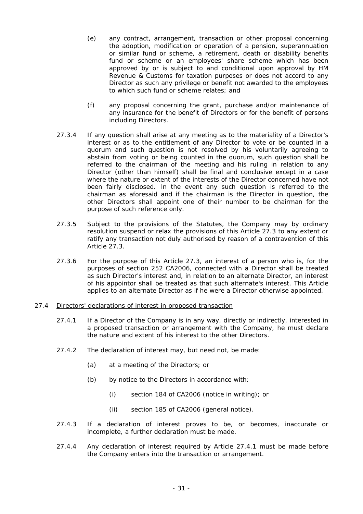- (e) any contract, arrangement, transaction or other proposal concerning the adoption, modification or operation of a pension, superannuation or similar fund or scheme, a retirement, death or disability benefits fund or scheme or an employees' share scheme which has been approved by or is subject to and conditional upon approval by HM Revenue & Customs for taxation purposes or does not accord to any Director as such any privilege or benefit not awarded to the employees to which such fund or scheme relates; and
- (f) any proposal concerning the grant, purchase and/or maintenance of any insurance for the benefit of Directors or for the benefit of persons including Directors.
- 27.3.4 If any question shall arise at any meeting as to the materiality of a Director's interest or as to the entitlement of any Director to vote or be counted in a quorum and such question is not resolved by his voluntarily agreeing to abstain from voting or being counted in the quorum, such question shall be referred to the chairman of the meeting and his ruling in relation to any Director (other than himself) shall be final and conclusive except in a case where the nature or extent of the interests of the Director concerned have not been fairly disclosed. In the event any such question is referred to the chairman as aforesaid and if the chairman is the Director in question, the other Directors shall appoint one of their number to be chairman for the purpose of such reference only.
- 27.3.5 Subject to the provisions of the Statutes, the Company may by ordinary resolution suspend or relax the provisions of this Article 27.3 to any extent or ratify any transaction not duly authorised by reason of a contravention of this Article 27.3.
- 27.3.6 For the purpose of this Article 27.3, an interest of a person who is, for the purposes of section 252 CA2006, connected with a Director shall be treated as such Director's interest and, in relation to an alternate Director, an interest of his appointor shall be treated as that such alternate's interest. This Article applies to an alternate Director as if he were a Director otherwise appointed.

# 27.4 Directors' declarations of interest in proposed transaction

- 27.4.1 If a Director of the Company is in any way, directly or indirectly, interested in a proposed transaction or arrangement with the Company, he must declare the nature and extent of his interest to the other Directors.
- 27.4.2 The declaration of interest may, but need not, be made:
	- (a) at a meeting of the Directors; or
	- (b) by notice to the Directors in accordance with:
		- (i) section 184 of CA2006 (notice in writing); or
		- (ii) section 185 of CA2006 (general notice).
- 27.4.3 If a declaration of interest proves to be, or becomes, inaccurate or incomplete, a further declaration must be made.
- 27.4.4 Any declaration of interest required by Article 27.4.1 must be made before the Company enters into the transaction or arrangement.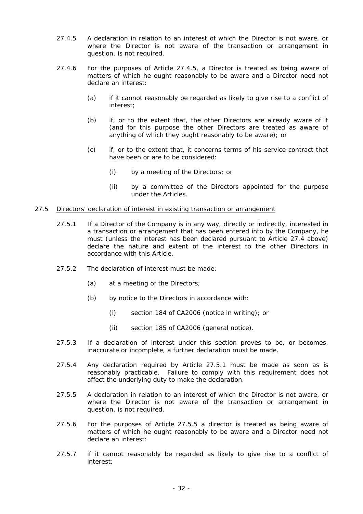- 27.4.5 A declaration in relation to an interest of which the Director is not aware, or where the Director is not aware of the transaction or arrangement in question, is not required.
- 27.4.6 For the purposes of Article 27.4.5, a Director is treated as being aware of matters of which he ought reasonably to be aware and a Director need not declare an interest:
	- (a) if it cannot reasonably be regarded as likely to give rise to a conflict of interest;
	- (b) if, or to the extent that, the other Directors are already aware of it (and for this purpose the other Directors are treated as aware of anything of which they ought reasonably to be aware); or
	- (c) if, or to the extent that, it concerns terms of his service contract that have been or are to be considered:
		- (i) by a meeting of the Directors; or
		- (ii) by a committee of the Directors appointed for the purpose under the Articles.

## 27.5 Directors' declaration of interest in existing transaction or arrangement

- 27.5.1 If a Director of the Company is in any way, directly or indirectly, interested in a transaction or arrangement that has been entered into by the Company, he must (unless the interest has been declared pursuant to Article 27.4 above) declare the nature and extent of the interest to the other Directors in accordance with this Article.
- 27.5.2 The declaration of interest must be made:
	- (a) at a meeting of the Directors;
	- (b) by notice to the Directors in accordance with:
		- (i) section 184 of CA2006 (notice in writing); or
		- (ii) section 185 of CA2006 (general notice).
- 27.5.3 If a declaration of interest under this section proves to be, or becomes, inaccurate or incomplete, a further declaration must be made.
- 27.5.4 Any declaration required by Article 27.5.1 must be made as soon as is reasonably practicable. Failure to comply with this requirement does not affect the underlying duty to make the declaration.
- 27.5.5 A declaration in relation to an interest of which the Director is not aware, or where the Director is not aware of the transaction or arrangement in question, is not required.
- 27.5.6 For the purposes of Article 27.5.5 a director is treated as being aware of matters of which he ought reasonably to be aware and a Director need not declare an interest:
- 27.5.7 if it cannot reasonably be regarded as likely to give rise to a conflict of interest;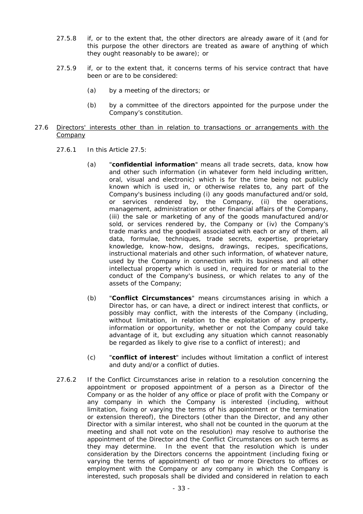- 27.5.8 if, or to the extent that, the other directors are already aware of it (and for this purpose the other directors are treated as aware of anything of which they ought reasonably to be aware); or
- 27.5.9 if, or to the extent that, it concerns terms of his service contract that have been or are to be considered:
	- (a) by a meeting of the directors; or
	- (b) by a committee of the directors appointed for the purpose under the Company's constitution.
- 27.6 Directors' interests other than in relation to transactions or arrangements with the **Company** 
	- 27.6.1 In this Article 27.5:
		- (a) "**confidential information**" means all trade secrets, data, know how and other such information (in whatever form held including written, oral, visual and electronic) which is for the time being not publicly known which is used in, or otherwise relates to, any part of the Company's business including (i) any goods manufactured and/or sold, or services rendered by, the Company, (ii) the operations, management, administration or other financial affairs of the Company, (iii) the sale or marketing of any of the goods manufactured and/or sold, or services rendered by, the Company or (iv) the Company's trade marks and the goodwill associated with each or any of them, all data, formulae, techniques, trade secrets, expertise, proprietary knowledge, know-how, designs, drawings, recipes, specifications, instructional materials and other such information, of whatever nature, used by the Company in connection with its business and all other intellectual property which is used in, required for or material to the conduct of the Company's business, or which relates to any of the assets of the Company;
		- (b) "**Conflict Circumstances**" means circumstances arising in which a Director has, or can have, a direct or indirect interest that conflicts, or possibly may conflict, with the interests of the Company (including, without limitation, in relation to the exploitation of any property, information or opportunity, whether or not the Company could take advantage of it, but excluding any situation which cannot reasonably be regarded as likely to give rise to a conflict of interest); and
		- (c) "**conflict of interest**" includes without limitation a conflict of interest and duty and/or a conflict of duties.
	- 27.6.2 If the Conflict Circumstances arise in relation to a resolution concerning the appointment or proposed appointment of a person as a Director of the Company or as the holder of any office or place of profit with the Company or any company in which the Company is interested (including, without limitation, fixing or varying the terms of his appointment or the termination or extension thereof), the Directors (other than the Director, and any other Director with a similar interest, who shall not be counted in the quorum at the meeting and shall not vote on the resolution) may resolve to authorise the appointment of the Director and the Conflict Circumstances on such terms as they may determine. In the event that the resolution which is under consideration by the Directors concerns the appointment (including fixing or varying the terms of appointment) of two or more Directors to offices or employment with the Company or any company in which the Company is interested, such proposals shall be divided and considered in relation to each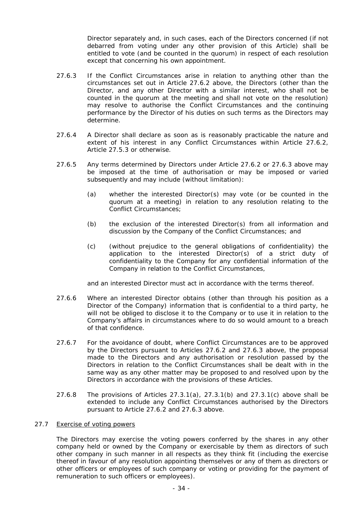Director separately and, in such cases, each of the Directors concerned (if not debarred from voting under any other provision of this Article) shall be entitled to vote (and be counted in the quorum) in respect of each resolution except that concerning his own appointment.

- 27.6.3 If the Conflict Circumstances arise in relation to anything other than the circumstances set out in Article 27.6.2 above, the Directors (other than the Director, and any other Director with a similar interest, who shall not be counted in the quorum at the meeting and shall not vote on the resolution) may resolve to authorise the Conflict Circumstances and the continuing performance by the Director of his duties on such terms as the Directors may determine.
- 27.6.4 A Director shall declare as soon as is reasonably practicable the nature and extent of his interest in any Conflict Circumstances within Article 27.6.2, Article 27.5.3 or otherwise.
- 27.6.5 Any terms determined by Directors under Article 27.6.2 or 27.6.3 above may be imposed at the time of authorisation or may be imposed or varied subsequently and may include (without limitation):
	- (a) whether the interested Director(s) may vote (or be counted in the quorum at a meeting) in relation to any resolution relating to the Conflict Circumstances;
	- (b) the exclusion of the interested Director(s) from all information and discussion by the Company of the Conflict Circumstances; and
	- (c) (without prejudice to the general obligations of confidentiality) the application to the interested Director(s) of a strict duty of confidentiality to the Company for any confidential information of the Company in relation to the Conflict Circumstances,

and an interested Director must act in accordance with the terms thereof.

- 27.6.6 Where an interested Director obtains (other than through his position as a Director of the Company) information that is confidential to a third party, he will not be obliged to disclose it to the Company or to use it in relation to the Company's affairs in circumstances where to do so would amount to a breach of that confidence.
- 27.6.7 For the avoidance of doubt, where Conflict Circumstances are to be approved by the Directors pursuant to Articles 27.6.2 and 27.6.3 above, the proposal made to the Directors and any authorisation or resolution passed by the Directors in relation to the Conflict Circumstances shall be dealt with in the same way as any other matter may be proposed to and resolved upon by the Directors in accordance with the provisions of these Articles.
- 27.6.8 The provisions of Articles  $27.3.1(a)$ ,  $27.3.1(b)$  and  $27.3.1(c)$  above shall be extended to include any Conflict Circumstances authorised by the Directors pursuant to Article 27.6.2 and 27.6.3 above.

# 27.7 Exercise of voting powers

The Directors may exercise the voting powers conferred by the shares in any other company held or owned by the Company or exercisable by them as directors of such other company in such manner in all respects as they think fit (including the exercise thereof in favour of any resolution appointing themselves or any of them as directors or other officers or employees of such company or voting or providing for the payment of remuneration to such officers or employees).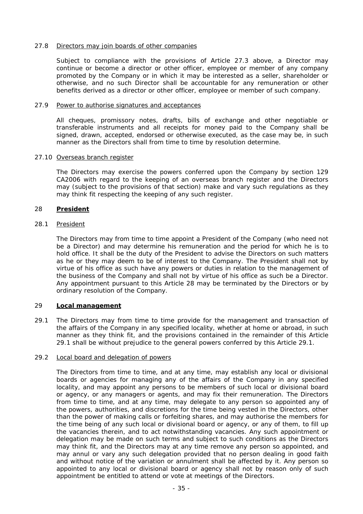# 27.8 Directors may join boards of other companies

Subject to compliance with the provisions of Article 27.3 above, a Director may continue or become a director or other officer, employee or member of any company promoted by the Company or in which it may be interested as a seller, shareholder or otherwise, and no such Director shall be accountable for any remuneration or other benefits derived as a director or other officer, employee or member of such company.

## 27.9 Power to authorise signatures and acceptances

All cheques, promissory notes, drafts, bills of exchange and other negotiable or transferable instruments and all receipts for money paid to the Company shall be signed, drawn, accepted, endorsed or otherwise executed, as the case may be, in such manner as the Directors shall from time to time by resolution determine.

## 27.10 Overseas branch register

The Directors may exercise the powers conferred upon the Company by section 129 CA2006 with regard to the keeping of an overseas branch register and the Directors may (subject to the provisions of that section) make and vary such regulations as they may think fit respecting the keeping of any such register.

# 28 **President**

## 28.1 President

The Directors may from time to time appoint a President of the Company (who need not be a Director) and may determine his remuneration and the period for which he is to hold office. It shall be the duty of the President to advise the Directors on such matters as he or they may deem to be of interest to the Company. The President shall not by virtue of his office as such have any powers or duties in relation to the management of the business of the Company and shall not by virtue of his office as such be a Director. Any appointment pursuant to this Article 28 may be terminated by the Directors or by ordinary resolution of the Company.

# 29 **Local management**

29.1 The Directors may from time to time provide for the management and transaction of the affairs of the Company in any specified locality, whether at home or abroad, in such manner as they think fit, and the provisions contained in the remainder of this Article 29.1 shall be without prejudice to the general powers conferred by this Article 29.1.

#### 29.2 Local board and delegation of powers

The Directors from time to time, and at any time, may establish any local or divisional boards or agencies for managing any of the affairs of the Company in any specified locality, and may appoint any persons to be members of such local or divisional board or agency, or any managers or agents, and may fix their remuneration. The Directors from time to time, and at any time, may delegate to any person so appointed any of the powers, authorities, and discretions for the time being vested in the Directors, other than the power of making calls or forfeiting shares, and may authorise the members for the time being of any such local or divisional board or agency, or any of them, to fill up the vacancies therein, and to act notwithstanding vacancies. Any such appointment or delegation may be made on such terms and subject to such conditions as the Directors may think fit, and the Directors may at any time remove any person so appointed, and may annul or vary any such delegation provided that no person dealing in good faith and without notice of the variation or annulment shall be affected by it. Any person so appointed to any local or divisional board or agency shall not by reason only of such appointment be entitled to attend or vote at meetings of the Directors.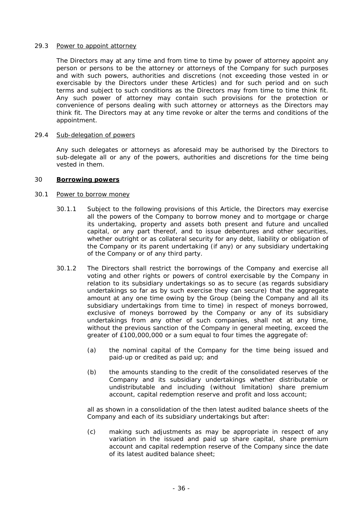## 29.3 Power to appoint attorney

The Directors may at any time and from time to time by power of attorney appoint any person or persons to be the attorney or attorneys of the Company for such purposes and with such powers, authorities and discretions (not exceeding those vested in or exercisable by the Directors under these Articles) and for such period and on such terms and subject to such conditions as the Directors may from time to time think fit. Any such power of attorney may contain such provisions for the protection or convenience of persons dealing with such attorney or attorneys as the Directors may think fit. The Directors may at any time revoke or alter the terms and conditions of the appointment.

## 29.4 Sub-delegation of powers

Any such delegates or attorneys as aforesaid may be authorised by the Directors to sub-delegate all or any of the powers, authorities and discretions for the time being vested in them.

#### 30 **Borrowing powers**

#### 30.1 Power to borrow money

- 30.1.1 Subject to the following provisions of this Article, the Directors may exercise all the powers of the Company to borrow money and to mortgage or charge its undertaking, property and assets both present and future and uncalled capital, or any part thereof, and to issue debentures and other securities, whether outright or as collateral security for any debt, liability or obligation of the Company or its parent undertaking (if any) or any subsidiary undertaking of the Company or of any third party.
- 30.1.2 The Directors shall restrict the borrowings of the Company and exercise all voting and other rights or powers of control exercisable by the Company in relation to its subsidiary undertakings so as to secure (as regards subsidiary undertakings so far as by such exercise they can secure) that the aggregate amount at any one time owing by the Group (being the Company and all its subsidiary undertakings from time to time) in respect of moneys borrowed, exclusive of moneys borrowed by the Company or any of its subsidiary undertakings from any other of such companies, shall not at any time, without the previous sanction of the Company in general meeting, exceed the greater of £100,000,000 or a sum equal to four times the aggregate of:
	- (a) the nominal capital of the Company for the time being issued and paid-up or credited as paid up; and
	- (b) the amounts standing to the credit of the consolidated reserves of the Company and its subsidiary undertakings whether distributable or undistributable and including (without limitation) share premium account, capital redemption reserve and profit and loss account;

all as shown in a consolidation of the then latest audited balance sheets of the Company and each of its subsidiary undertakings but after:

(c) making such adjustments as may be appropriate in respect of any variation in the issued and paid up share capital, share premium account and capital redemption reserve of the Company since the date of its latest audited balance sheet;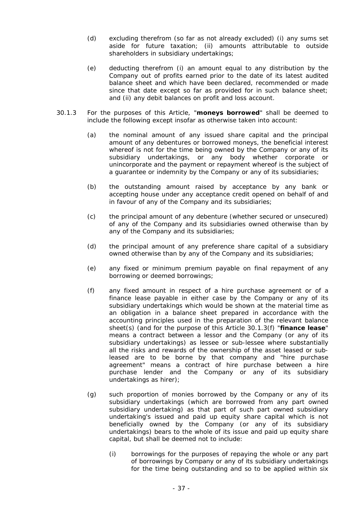- (d) excluding therefrom (so far as not already excluded) (i) any sums set aside for future taxation; (ii) amounts attributable to outside shareholders in subsidiary undertakings;
- (e) deducting therefrom (i) an amount equal to any distribution by the Company out of profits earned prior to the date of its latest audited balance sheet and which have been declared, recommended or made since that date except so far as provided for in such balance sheet; and (ii) any debit balances on profit and loss account.
- 30.1.3 For the purposes of this Article, "**moneys borrowed**" shall be deemed to include the following except insofar as otherwise taken into account:
	- (a) the nominal amount of any issued share capital and the principal amount of any debentures or borrowed moneys, the beneficial interest whereof is not for the time being owned by the Company or any of its subsidiary undertakings, or any body whether corporate or unincorporate and the payment or repayment whereof is the subject of a guarantee or indemnity by the Company or any of its subsidiaries;
	- (b) the outstanding amount raised by acceptance by any bank or accepting house under any acceptance credit opened on behalf of and in favour of any of the Company and its subsidiaries;
	- (c) the principal amount of any debenture (whether secured or unsecured) of any of the Company and its subsidiaries owned otherwise than by any of the Company and its subsidiaries;
	- (d) the principal amount of any preference share capital of a subsidiary owned otherwise than by any of the Company and its subsidiaries;
	- (e) any fixed or minimum premium payable on final repayment of any borrowing or deemed borrowings;
	- (f) any fixed amount in respect of a hire purchase agreement or of a finance lease payable in either case by the Company or any of its subsidiary undertakings which would be shown at the material time as an obligation in a balance sheet prepared in accordance with the accounting principles used in the preparation of the relevant balance sheet(s) (and for the purpose of this Article 30.1.3(f) "**finance lease**" means a contract between a lessor and the Company (or any of its subsidiary undertakings) as lessee or sub-lessee where substantially all the risks and rewards of the ownership of the asset leased or subleased are to be borne by that company and "hire purchase agreement" means a contract of hire purchase between a hire purchase lender and the Company or any of its subsidiary undertakings as hirer);
	- (g) such proportion of monies borrowed by the Company or any of its subsidiary undertakings (which are borrowed from any part owned subsidiary undertaking) as that part of such part owned subsidiary undertaking's issued and paid up equity share capital which is not beneficially owned by the Company (or any of its subsidiary undertakings) bears to the whole of its issue and paid up equity share capital, but shall be deemed not to include:
		- (i) borrowings for the purposes of repaying the whole or any part of borrowings by Company or any of its subsidiary undertakings for the time being outstanding and so to be applied within six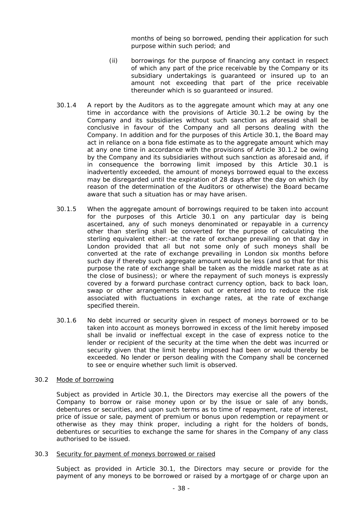months of being so borrowed, pending their application for such purpose within such period; and

- (ii) borrowings for the purpose of financing any contact in respect of which any part of the price receivable by the Company or its subsidiary undertakings is guaranteed or insured up to an amount not exceeding that part of the price receivable thereunder which is so guaranteed or insured.
- 30.1.4 A report by the Auditors as to the aggregate amount which may at any one time in accordance with the provisions of Article 30.1.2 be owing by the Company and its subsidiaries without such sanction as aforesaid shall be conclusive in favour of the Company and all persons dealing with the Company. In addition and for the purposes of this Article 30.1, the Board may act in reliance on a bona fide estimate as to the aggregate amount which may at any one time in accordance with the provisions of Article 30.1.2 be owing by the Company and its subsidiaries without such sanction as aforesaid and, if in consequence the borrowing limit imposed by this Article 30.1 is inadvertently exceeded, the amount of moneys borrowed equal to the excess may be disregarded until the expiration of 28 days after the day on which (by reason of the determination of the Auditors or otherwise) the Board became aware that such a situation has or may have arisen.
- 30.1.5 When the aggregate amount of borrowings required to be taken into account for the purposes of this Article 30.1 on any particular day is being ascertained, any of such moneys denominated or repayable in a currency other than sterling shall be converted for the purpose of calculating the sterling equivalent either:-at the rate of exchange prevailing on that day in London provided that all but not some only of such moneys shall be converted at the rate of exchange prevailing in London six months before such day if thereby such aggregate amount would be less (and so that for this purpose the rate of exchange shall be taken as the middle market rate as at the close of business); or where the repayment of such moneys is expressly covered by a forward purchase contract currency option, back to back loan, swap or other arrangements taken out or entered into to reduce the risk associated with fluctuations in exchange rates, at the rate of exchange specified therein.
- 30.1.6 No debt incurred or security given in respect of moneys borrowed or to be taken into account as moneys borrowed in excess of the limit hereby imposed shall be invalid or ineffectual except in the case of express notice to the lender or recipient of the security at the time when the debt was incurred or security given that the limit hereby imposed had been or would thereby be exceeded. No lender or person dealing with the Company shall be concerned to see or enquire whether such limit is observed.

#### 30.2 Mode of borrowing

Subject as provided in Article 30.1, the Directors may exercise all the powers of the Company to borrow or raise money upon or by the issue or sale of any bonds, debentures or securities, and upon such terms as to time of repayment, rate of interest, price of issue or sale, payment of premium or bonus upon redemption or repayment or otherwise as they may think proper, including a right for the holders of bonds, debentures or securities to exchange the same for shares in the Company of any class authorised to be issued.

#### 30.3 Security for payment of moneys borrowed or raised

Subject as provided in Article 30.1, the Directors may secure or provide for the payment of any moneys to be borrowed or raised by a mortgage of or charge upon an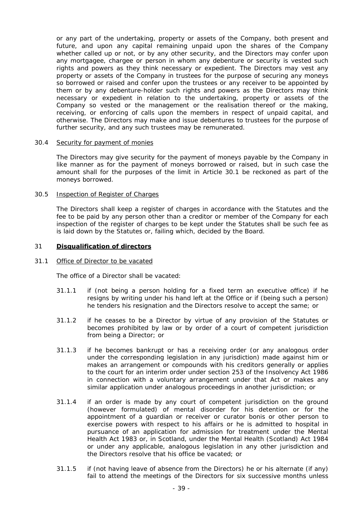or any part of the undertaking, property or assets of the Company, both present and future, and upon any capital remaining unpaid upon the shares of the Company whether called up or not, or by any other security, and the Directors may confer upon any mortgagee, chargee or person in whom any debenture or security is vested such rights and powers as they think necessary or expedient. The Directors may vest any property or assets of the Company in trustees for the purpose of securing any moneys so borrowed or raised and confer upon the trustees or any receiver to be appointed by them or by any debenture-holder such rights and powers as the Directors may think necessary or expedient in relation to the undertaking, property or assets of the Company so vested or the management or the realisation thereof or the making, receiving, or enforcing of calls upon the members in respect of unpaid capital, and otherwise. The Directors may make and issue debentures to trustees for the purpose of further security, and any such trustees may be remunerated.

#### 30.4 Security for payment of monies

The Directors may give security for the payment of moneys payable by the Company in like manner as for the payment of moneys borrowed or raised, but in such case the amount shall for the purposes of the limit in Article 30.1 be reckoned as part of the moneys borrowed.

# 30.5 Inspection of Register of Charges

The Directors shall keep a register of charges in accordance with the Statutes and the fee to be paid by any person other than a creditor or member of the Company for each inspection of the register of charges to be kept under the Statutes shall be such fee as is laid down by the Statutes or, failing which, decided by the Board.

## 31 **Disqualification of directors**

#### 31.1 Office of Director to be vacated

The office of a Director shall be vacated:

- 31.1.1 if (not being a person holding for a fixed term an executive office) if he resigns by writing under his hand left at the Office or if (being such a person) he tenders his resignation and the Directors resolve to accept the same; or
- 31.1.2 if he ceases to be a Director by virtue of any provision of the Statutes or becomes prohibited by law or by order of a court of competent jurisdiction from being a Director; or
- 31.1.3 if he becomes bankrupt or has a receiving order (or any analogous order under the corresponding legislation in any jurisdiction) made against him or makes an arrangement or compounds with his creditors generally or applies to the court for an interim order under section 253 of the Insolvency Act 1986 in connection with a voluntary arrangement under that Act or makes any similar application under analogous proceedings in another jurisdiction; or
- 31.1.4 if an order is made by any court of competent jurisdiction on the ground (however formulated) of mental disorder for his detention or for the appointment of a guardian or receiver or curator bonis or other person to exercise powers with respect to his affairs or he is admitted to hospital in pursuance of an application for admission for treatment under the Mental Health Act 1983 or, in Scotland, under the Mental Health (Scotland) Act 1984 or under any applicable, analogous legislation in any other jurisdiction and the Directors resolve that his office be vacated; or
- 31.1.5 if (not having leave of absence from the Directors) he or his alternate (if any) fail to attend the meetings of the Directors for six successive months unless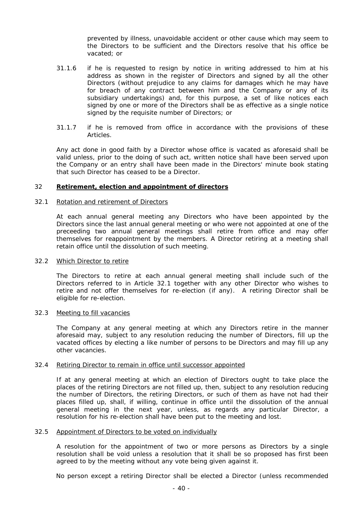prevented by illness, unavoidable accident or other cause which may seem to the Directors to be sufficient and the Directors resolve that his office be vacated; or

- 31.1.6 if he is requested to resign by notice in writing addressed to him at his address as shown in the register of Directors and signed by all the other Directors (without prejudice to any claims for damages which he may have for breach of any contract between him and the Company or any of its subsidiary undertakings) and, for this purpose, a set of like notices each signed by one or more of the Directors shall be as effective as a single notice signed by the requisite number of Directors; or
- 31.1.7 if he is removed from office in accordance with the provisions of these Articles.

Any act done in good faith by a Director whose office is vacated as aforesaid shall be valid unless, prior to the doing of such act, written notice shall have been served upon the Company or an entry shall have been made in the Directors' minute book stating that such Director has ceased to be a Director.

## 32 **Retirement, election and appointment of directors**

## 32.1 Rotation and retirement of Directors

At each annual general meeting any Directors who have been appointed by the Directors since the last annual general meeting or who were not appointed at one of the preceeding two annual general meetings shall retire from office and may offer themselves for reappointment by the members. A Director retiring at a meeting shall retain office until the dissolution of such meeting.

#### 32.2 Which Director to retire

The Directors to retire at each annual general meeting shall include such of the Directors referred to in Article 32.1 together with any other Director who wishes to retire and not offer themselves for re-election (if any). A retiring Director shall be eligible for re-election.

#### 32.3 Meeting to fill vacancies

The Company at any general meeting at which any Directors retire in the manner aforesaid may, subject to any resolution reducing the number of Directors, fill up the vacated offices by electing a like number of persons to be Directors and may fill up any other vacancies.

#### 32.4 Retiring Director to remain in office until successor appointed

If at any general meeting at which an election of Directors ought to take place the places of the retiring Directors are not filled up, then, subject to any resolution reducing the number of Directors, the retiring Directors, or such of them as have not had their places filled up, shall, if willing, continue in office until the dissolution of the annual general meeting in the next year, unless, as regards any particular Director, a resolution for his re-election shall have been put to the meeting and lost.

#### 32.5 Appointment of Directors to be voted on individually

A resolution for the appointment of two or more persons as Directors by a single resolution shall be void unless a resolution that it shall be so proposed has first been agreed to by the meeting without any vote being given against it.

No person except a retiring Director shall be elected a Director (unless recommended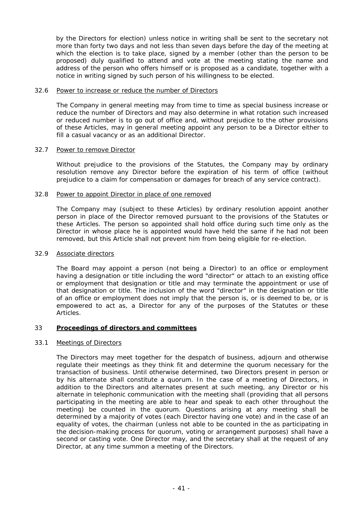by the Directors for election) unless notice in writing shall be sent to the secretary not more than forty two days and not less than seven days before the day of the meeting at which the election is to take place, signed by a member (other than the person to be proposed) duly qualified to attend and vote at the meeting stating the name and address of the person who offers himself or is proposed as a candidate, together with a notice in writing signed by such person of his willingness to be elected.

## 32.6 Power to increase or reduce the number of Directors

The Company in general meeting may from time to time as special business increase or reduce the number of Directors and may also determine in what rotation such increased or reduced number is to go out of office and, without prejudice to the other provisions of these Articles, may in general meeting appoint any person to be a Director either to fill a casual vacancy or as an additional Director.

# 32.7 Power to remove Director

Without prejudice to the provisions of the Statutes, the Company may by ordinary resolution remove any Director before the expiration of his term of office (without prejudice to a claim for compensation or damages for breach of any service contract).

## 32.8 Power to appoint Director in place of one removed

The Company may (subject to these Articles) by ordinary resolution appoint another person in place of the Director removed pursuant to the provisions of the Statutes or these Articles. The person so appointed shall hold office during such time only as the Director in whose place he is appointed would have held the same if he had not been removed, but this Article shall not prevent him from being eligible for re-election.

## 32.9 Associate directors

The Board may appoint a person (not being a Director) to an office or employment having a designation or title including the word "director" or attach to an existing office or employment that designation or title and may terminate the appointment or use of that designation or title. The inclusion of the word "director" in the designation or title of an office or employment does not imply that the person is, or is deemed to be, or is empowered to act as, a Director for any of the purposes of the Statutes or these Articles.

# 33 **Proceedings of directors and committees**

# 33.1 Meetings of Directors

The Directors may meet together for the despatch of business, adjourn and otherwise regulate their meetings as they think fit and determine the quorum necessary for the transaction of business. Until otherwise determined, two Directors present in person or by his alternate shall constitute a quorum. In the case of a meeting of Directors, in addition to the Directors and alternates present at such meeting, any Director or his alternate in telephonic communication with the meeting shall (providing that all persons participating in the meeting are able to hear and speak to each other throughout the meeting) be counted in the quorum. Questions arising at any meeting shall be determined by a majority of votes (each Director having one vote) and in the case of an equality of votes, the chairman (unless not able to be counted in the as participating in the decision-making process for quorum, voting or arrangement purposes) shall have a second or casting vote. One Director may, and the secretary shall at the request of any Director, at any time summon a meeting of the Directors.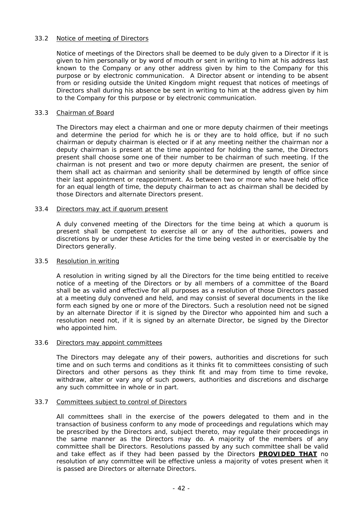# 33.2 Notice of meeting of Directors

Notice of meetings of the Directors shall be deemed to be duly given to a Director if it is given to him personally or by word of mouth or sent in writing to him at his address last known to the Company or any other address given by him to the Company for this purpose or by electronic communication. A Director absent or intending to be absent from or residing outside the United Kingdom might request that notices of meetings of Directors shall during his absence be sent in writing to him at the address given by him to the Company for this purpose or by electronic communication.

# 33.3 Chairman of Board

The Directors may elect a chairman and one or more deputy chairmen of their meetings and determine the period for which he is or they are to hold office, but if no such chairman or deputy chairman is elected or if at any meeting neither the chairman nor a deputy chairman is present at the time appointed for holding the same, the Directors present shall choose some one of their number to be chairman of such meeting. If the chairman is not present and two or more deputy chairmen are present, the senior of them shall act as chairman and seniority shall be determined by length of office since their last appointment or reappointment. As between two or more who have held office for an equal length of time, the deputy chairman to act as chairman shall be decided by those Directors and alternate Directors present.

# 33.4 Directors may act if quorum present

A duly convened meeting of the Directors for the time being at which a quorum is present shall be competent to exercise all or any of the authorities, powers and discretions by or under these Articles for the time being vested in or exercisable by the Directors generally.

# 33.5 Resolution in writing

A resolution in writing signed by all the Directors for the time being entitled to receive notice of a meeting of the Directors or by all members of a committee of the Board shall be as valid and effective for all purposes as a resolution of those Directors passed at a meeting duly convened and held, and may consist of several documents in the like form each signed by one or more of the Directors. Such a resolution need not be signed by an alternate Director if it is signed by the Director who appointed him and such a resolution need not, if it is signed by an alternate Director, be signed by the Director who appointed him.

# 33.6 Directors may appoint committees

The Directors may delegate any of their powers, authorities and discretions for such time and on such terms and conditions as it thinks fit to committees consisting of such Directors and other persons as they think fit and may from time to time revoke, withdraw, alter or vary any of such powers, authorities and discretions and discharge any such committee in whole or in part.

# 33.7 Committees subject to control of Directors

All committees shall in the exercise of the powers delegated to them and in the transaction of business conform to any mode of proceedings and regulations which may be prescribed by the Directors and, subject thereto, may regulate their proceedings in the same manner as the Directors may do. A majority of the members of any committee shall be Directors. Resolutions passed by any such committee shall be valid and take effect as if they had been passed by the Directors **PROVIDED THAT** no resolution of any committee will be effective unless a majority of votes present when it is passed are Directors or alternate Directors.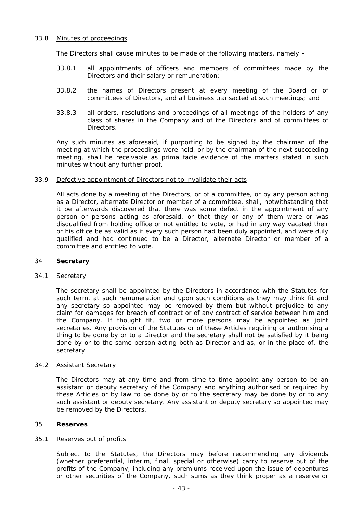## 33.8 Minutes of proceedings

The Directors shall cause minutes to be made of the following matters, namely:-

- 33.8.1 all appointments of officers and members of committees made by the Directors and their salary or remuneration;
- 33.8.2 the names of Directors present at every meeting of the Board or of committees of Directors, and all business transacted at such meetings; and
- 33.8.3 all orders, resolutions and proceedings of all meetings of the holders of any class of shares in the Company and of the Directors and of committees of Directors.

Any such minutes as aforesaid, if purporting to be signed by the chairman of the meeting at which the proceedings were held, or by the chairman of the next succeeding meeting, shall be receivable as prima facie evidence of the matters stated in such minutes without any further proof.

## 33.9 Defective appointment of Directors not to invalidate their acts

All acts done by a meeting of the Directors, or of a committee, or by any person acting as a Director, alternate Director or member of a committee, shall, notwithstanding that it be afterwards discovered that there was some defect in the appointment of any person or persons acting as aforesaid, or that they or any of them were or was disqualified from holding office or not entitled to vote, or had in any way vacated their or his office be as valid as if every such person had been duly appointed, and were duly qualified and had continued to be a Director, alternate Director or member of a committee and entitled to vote.

#### 34 **Secretary**

## 34.1 Secretary

The secretary shall be appointed by the Directors in accordance with the Statutes for such term, at such remuneration and upon such conditions as they may think fit and any secretary so appointed may be removed by them but without prejudice to any claim for damages for breach of contract or of any contract of service between him and the Company. If thought fit, two or more persons may be appointed as joint secretaries. Any provision of the Statutes or of these Articles requiring or authorising a thing to be done by or to a Director and the secretary shall not be satisfied by it being done by or to the same person acting both as Director and as, or in the place of, the secretary.

#### 34.2 Assistant Secretary

The Directors may at any time and from time to time appoint any person to be an assistant or deputy secretary of the Company and anything authorised or required by these Articles or by law to be done by or to the secretary may be done by or to any such assistant or deputy secretary. Any assistant or deputy secretary so appointed may be removed by the Directors.

#### 35 **Reserves**

# 35.1 Reserves out of profits

Subject to the Statutes, the Directors may before recommending any dividends (whether preferential, interim, final, special or otherwise) carry to reserve out of the profits of the Company, including any premiums received upon the issue of debentures or other securities of the Company, such sums as they think proper as a reserve or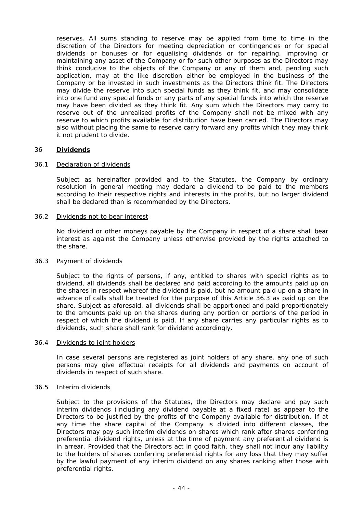reserves. All sums standing to reserve may be applied from time to time in the discretion of the Directors for meeting depreciation or contingencies or for special dividends or bonuses or for equalising dividends or for repairing, improving or maintaining any asset of the Company or for such other purposes as the Directors may think conducive to the objects of the Company or any of them and, pending such application, may at the like discretion either be employed in the business of the Company or be invested in such investments as the Directors think fit. The Directors may divide the reserve into such special funds as they think fit, and may consolidate into one fund any special funds or any parts of any special funds into which the reserve may have been divided as they think fit. Any sum which the Directors may carry to reserve out of the unrealised profits of the Company shall not be mixed with any reserve to which profits available for distribution have been carried. The Directors may also without placing the same to reserve carry forward any profits which they may think it not prudent to divide.

## 36 **Dividends**

# 36.1 Declaration of dividends

Subject as hereinafter provided and to the Statutes, the Company by ordinary resolution in general meeting may declare a dividend to be paid to the members according to their respective rights and interests in the profits, but no larger dividend shall be declared than is recommended by the Directors.

## 36.2 Dividends not to bear interest

No dividend or other moneys payable by the Company in respect of a share shall bear interest as against the Company unless otherwise provided by the rights attached to the share.

#### 36.3 Payment of dividends

Subject to the rights of persons, if any, entitled to shares with special rights as to dividend, all dividends shall be declared and paid according to the amounts paid up on the shares in respect whereof the dividend is paid, but no amount paid up on a share in advance of calls shall be treated for the purpose of this Article 36.3 as paid up on the share. Subject as aforesaid, all dividends shall be apportioned and paid proportionately to the amounts paid up on the shares during any portion or portions of the period in respect of which the dividend is paid. If any share carries any particular rights as to dividends, such share shall rank for dividend accordingly.

#### 36.4 Dividends to joint holders

In case several persons are registered as joint holders of any share, any one of such persons may give effectual receipts for all dividends and payments on account of dividends in respect of such share.

#### 36.5 Interim dividends

Subject to the provisions of the Statutes, the Directors may declare and pay such interim dividends (including any dividend payable at a fixed rate) as appear to the Directors to be justified by the profits of the Company available for distribution. If at any time the share capital of the Company is divided into different classes, the Directors may pay such interim dividends on shares which rank after shares conferring preferential dividend rights, unless at the time of payment any preferential dividend is in arrear. Provided that the Directors act in good faith, they shall not incur any liability to the holders of shares conferring preferential rights for any loss that they may suffer by the lawful payment of any interim dividend on any shares ranking after those with preferential rights.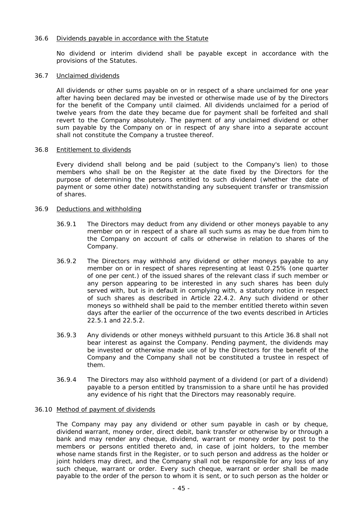## 36.6 Dividends payable in accordance with the Statute

No dividend or interim dividend shall be payable except in accordance with the provisions of the Statutes.

#### 36.7 Unclaimed dividends

All dividends or other sums payable on or in respect of a share unclaimed for one year after having been declared may be invested or otherwise made use of by the Directors for the benefit of the Company until claimed. All dividends unclaimed for a period of twelve years from the date they became due for payment shall be forfeited and shall revert to the Company absolutely. The payment of any unclaimed dividend or other sum payable by the Company on or in respect of any share into a separate account shall not constitute the Company a trustee thereof.

#### 36.8 Entitlement to dividends

Every dividend shall belong and be paid (subject to the Company's lien) to those members who shall be on the Register at the date fixed by the Directors for the purpose of determining the persons entitled to such dividend (whether the date of payment or some other date) notwithstanding any subsequent transfer or transmission of shares.

## 36.9 Deductions and withholding

- 36.9.1 The Directors may deduct from any dividend or other moneys payable to any member on or in respect of a share all such sums as may be due from him to the Company on account of calls or otherwise in relation to shares of the Company.
- 36.9.2 The Directors may withhold any dividend or other moneys payable to any member on or in respect of shares representing at least 0.25% (one quarter of one per cent.) of the issued shares of the relevant class if such member or any person appearing to be interested in any such shares has been duly served with, but is in default in complying with, a statutory notice in respect of such shares as described in Article 22.4.2. Any such dividend or other moneys so withheld shall be paid to the member entitled thereto within seven days after the earlier of the occurrence of the two events described in Articles 22.5.1 and 22.5.2.
- 36.9.3 Any dividends or other moneys withheld pursuant to this Article 36.8 shall not bear interest as against the Company. Pending payment, the dividends may be invested or otherwise made use of by the Directors for the benefit of the Company and the Company shall not be constituted a trustee in respect of them.
- 36.9.4 The Directors may also withhold payment of a dividend (or part of a dividend) payable to a person entitled by transmission to a share until he has provided any evidence of his right that the Directors may reasonably require.

#### 36.10 Method of payment of dividends

The Company may pay any dividend or other sum payable in cash or by cheque, dividend warrant, money order, direct debit, bank transfer or otherwise by or through a bank and may render any cheque, dividend, warrant or money order by post to the members or persons entitled thereto and, in case of joint holders, to the member whose name stands first in the Register, or to such person and address as the holder or joint holders may direct, and the Company shall not be responsible for any loss of any such cheque, warrant or order. Every such cheque, warrant or order shall be made payable to the order of the person to whom it is sent, or to such person as the holder or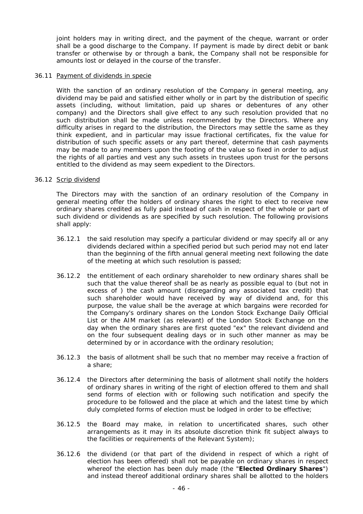joint holders may in writing direct, and the payment of the cheque, warrant or order shall be a good discharge to the Company. If payment is made by direct debit or bank transfer or otherwise by or through a bank, the Company shall not be responsible for amounts lost or delayed in the course of the transfer.

## 36.11 Payment of dividends in specie

With the sanction of an ordinary resolution of the Company in general meeting, any dividend may be paid and satisfied either wholly or in part by the distribution of specific assets (including, without limitation, paid up shares or debentures of any other company) and the Directors shall give effect to any such resolution provided that no such distribution shall be made unless recommended by the Directors. Where any difficulty arises in regard to the distribution, the Directors may settle the same as they think expedient, and in particular may issue fractional certificates, fix the value for distribution of such specific assets or any part thereof, determine that cash payments may be made to any members upon the footing of the value so fixed in order to adjust the rights of all parties and vest any such assets in trustees upon trust for the persons entitled to the dividend as may seem expedient to the Directors.

## 36.12 Scrip dividend

The Directors may with the sanction of an ordinary resolution of the Company in general meeting offer the holders of ordinary shares the right to elect to receive new ordinary shares credited as fully paid instead of cash in respect of the whole or part of such dividend or dividends as are specified by such resolution. The following provisions shall apply:

- 36.12.1 the said resolution may specify a particular dividend or may specify all or any dividends declared within a specified period but such period may not end later than the beginning of the fifth annual general meeting next following the date of the meeting at which such resolution is passed;
- 36.12.2 the entitlement of each ordinary shareholder to new ordinary shares shall be such that the value thereof shall be as nearly as possible equal to (but not in excess of ) the cash amount (disregarding any associated tax credit) that such shareholder would have received by way of dividend and, for this purpose, the value shall be the average at which bargains were recorded for the Company's ordinary shares on the London Stock Exchange Daily Official List or the AIM market (as relevant) of the London Stock Exchange on the day when the ordinary shares are first quoted "ex" the relevant dividend and on the four subsequent dealing days or in such other manner as may be determined by or in accordance with the ordinary resolution;
- 36.12.3 the basis of allotment shall be such that no member may receive a fraction of a share;
- 36.12.4 the Directors after determining the basis of allotment shall notify the holders of ordinary shares in writing of the right of election offered to them and shall send forms of election with or following such notification and specify the procedure to be followed and the place at which and the latest time by which duly completed forms of election must be lodged in order to be effective;
- 36.12.5 the Board may make, in relation to uncertificated shares, such other arrangements as it may in its absolute discretion think fit subject always to the facilities or requirements of the Relevant System);
- 36.12.6 the dividend (or that part of the dividend in respect of which a right of election has been offered) shall not be payable on ordinary shares in respect whereof the election has been duly made (the "**Elected Ordinary Shares**") and instead thereof additional ordinary shares shall be allotted to the holders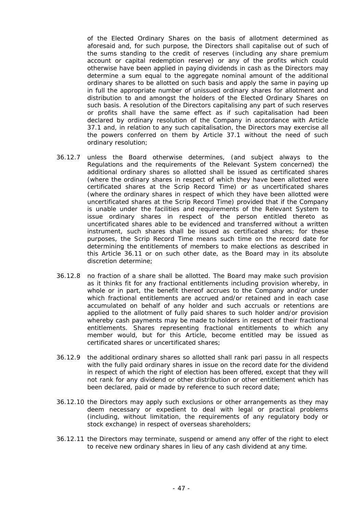of the Elected Ordinary Shares on the basis of allotment determined as aforesaid and, for such purpose, the Directors shall capitalise out of such of the sums standing to the credit of reserves (including any share premium account or capital redemption reserve) or any of the profits which could otherwise have been applied in paying dividends in cash as the Directors may determine a sum equal to the aggregate nominal amount of the additional ordinary shares to be allotted on such basis and apply the same in paying up in full the appropriate number of unissued ordinary shares for allotment and distribution to and amongst the holders of the Elected Ordinary Shares on such basis. A resolution of the Directors capitalising any part of such reserves or profits shall have the same effect as if such capitalisation had been declared by ordinary resolution of the Company in accordance with Article 37.1 and, in relation to any such capitalisation, the Directors may exercise all the powers conferred on them by Article 37.1 without the need of such ordinary resolution;

- 36.12.7 unless the Board otherwise determines, (and subject always to the Regulations and the requirements of the Relevant System concerned) the additional ordinary shares so allotted shall be issued as certificated shares (where the ordinary shares in respect of which they have been allotted were certificated shares at the Scrip Record Time) or as uncertificated shares (where the ordinary shares in respect of which they have been allotted were uncertificated shares at the Scrip Record Time) provided that if the Company is unable under the facilities and requirements of the Relevant System to issue ordinary shares in respect of the person entitled thereto as uncertificated shares able to be evidenced and transferred without a written instrument, such shares shall be issued as certificated shares; for these purposes, the Scrip Record Time means such time on the record date for determining the entitlements of members to make elections as described in this Article 36.11 or on such other date, as the Board may in its absolute discretion determine;
- 36.12.8 no fraction of a share shall be allotted. The Board may make such provision as it thinks fit for any fractional entitlements including provision whereby, in whole or in part, the benefit thereof accrues to the Company and/or under which fractional entitlements are accrued and/or retained and in each case accumulated on behalf of any holder and such accruals or retentions are applied to the allotment of fully paid shares to such holder and/or provision whereby cash payments may be made to holders in respect of their fractional entitlements. Shares representing fractional entitlements to which any member would, but for this Article, become entitled may be issued as certificated shares or uncertificated shares;
- 36.12.9 the additional ordinary shares so allotted shall rank pari passu in all respects with the fully paid ordinary shares in issue on the record date for the dividend in respect of which the right of election has been offered, except that they will not rank for any dividend or other distribution or other entitlement which has been declared, paid or made by reference to such record date;
- 36.12.10 the Directors may apply such exclusions or other arrangements as they may deem necessary or expedient to deal with legal or practical problems (including, without limitation, the requirements of any regulatory body or stock exchange) in respect of overseas shareholders;
- 36.12.11 the Directors may terminate, suspend or amend any offer of the right to elect to receive new ordinary shares in lieu of any cash dividend at any time.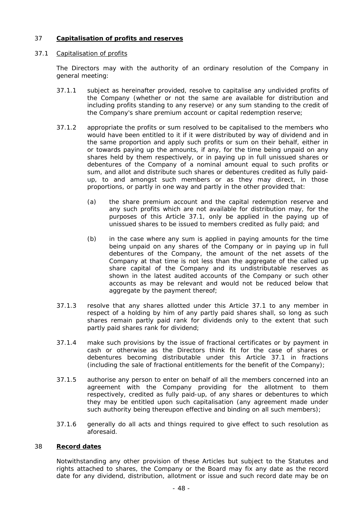# 37 **Capitalisation of profits and reserves**

# 37.1 Capitalisation of profits

The Directors may with the authority of an ordinary resolution of the Company in general meeting:

- 37.1.1 subject as hereinafter provided, resolve to capitalise any undivided profits of the Company (whether or not the same are available for distribution and including profits standing to any reserve) or any sum standing to the credit of the Company's share premium account or capital redemption reserve;
- 37.1.2 appropriate the profits or sum resolved to be capitalised to the members who would have been entitled to it if it were distributed by way of dividend and in the same proportion and apply such profits or sum on their behalf, either in or towards paying up the amounts, if any, for the time being unpaid on any shares held by them respectively, or in paying up in full unissued shares or debentures of the Company of a nominal amount equal to such profits or sum, and allot and distribute such shares or debentures credited as fully paidup, to and amongst such members or as they may direct, in those proportions, or partly in one way and partly in the other provided that:
	- (a) the share premium account and the capital redemption reserve and any such profits which are not available for distribution may, for the purposes of this Article 37.1, only be applied in the paying up of unissued shares to be issued to members credited as fully paid; and
	- (b) in the case where any sum is applied in paying amounts for the time being unpaid on any shares of the Company or in paying up in full debentures of the Company, the amount of the net assets of the Company at that time is not less than the aggregate of the called up share capital of the Company and its undistributable reserves as shown in the latest audited accounts of the Company or such other accounts as may be relevant and would not be reduced below that aggregate by the payment thereof;
- 37.1.3 resolve that any shares allotted under this Article 37.1 to any member in respect of a holding by him of any partly paid shares shall, so long as such shares remain partly paid rank for dividends only to the extent that such partly paid shares rank for dividend;
- 37.1.4 make such provisions by the issue of fractional certificates or by payment in cash or otherwise as the Directors think fit for the case of shares or debentures becoming distributable under this Article 37.1 in fractions (including the sale of fractional entitlements for the benefit of the Company);
- 37.1.5 authorise any person to enter on behalf of all the members concerned into an agreement with the Company providing for the allotment to them respectively, credited as fully paid-up, of any shares or debentures to which they may be entitled upon such capitalisation (any agreement made under such authority being thereupon effective and binding on all such members);
- 37.1.6 generally do all acts and things required to give effect to such resolution as aforesaid.

# 38 **Record dates**

Notwithstanding any other provision of these Articles but subject to the Statutes and rights attached to shares, the Company or the Board may fix any date as the record date for any dividend, distribution, allotment or issue and such record date may be on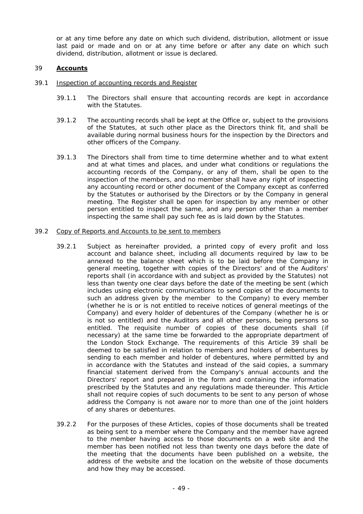or at any time before any date on which such dividend, distribution, allotment or issue last paid or made and on or at any time before or after any date on which such dividend, distribution, allotment or issue is declared.

## 39 **Accounts**

## 39.1 Inspection of accounting records and Register

- 39.1.1 The Directors shall ensure that accounting records are kept in accordance with the Statutes.
- 39.1.2 The accounting records shall be kept at the Office or, subject to the provisions of the Statutes, at such other place as the Directors think fit, and shall be available during normal business hours for the inspection by the Directors and other officers of the Company.
- 39.1.3 The Directors shall from time to time determine whether and to what extent and at what times and places, and under what conditions or regulations the accounting records of the Company, or any of them, shall be open to the inspection of the members, and no member shall have any right of inspecting any accounting record or other document of the Company except as conferred by the Statutes or authorised by the Directors or by the Company in general meeting. The Register shall be open for inspection by any member or other person entitled to inspect the same, and any person other than a member inspecting the same shall pay such fee as is laid down by the Statutes.

#### 39.2 Copy of Reports and Accounts to be sent to members

- 39.2.1 Subject as hereinafter provided, a printed copy of every profit and loss account and balance sheet, including all documents required by law to be annexed to the balance sheet which is to be laid before the Company in general meeting, together with copies of the Directors' and of the Auditors' reports shall (in accordance with and subject as provided by the Statutes) not less than twenty one clear days before the date of the meeting be sent (which includes using electronic communications to send copies of the documents to such an address given by the member to the Company) to every member (whether he is or is not entitled to receive notices of general meetings of the Company) and every holder of debentures of the Company (whether he is or is not so entitled) and the Auditors and all other persons, being persons so entitled. The requisite number of copies of these documents shall (if necessary) at the same time be forwarded to the appropriate department of the London Stock Exchange. The requirements of this Article 39 shall be deemed to be satisfied in relation to members and holders of debentures by sending to each member and holder of debentures, where permitted by and in accordance with the Statutes and instead of the said copies, a summary financial statement derived from the Company's annual accounts and the Directors' report and prepared in the form and containing the information prescribed by the Statutes and any regulations made thereunder. This Article shall not require copies of such documents to be sent to any person of whose address the Company is not aware nor to more than one of the joint holders of any shares or debentures.
- 39.2.2 For the purposes of these Articles, copies of those documents shall be treated as being sent to a member where the Company and the member have agreed to the member having access to those documents on a web site and the member has been notified not less than twenty one days before the date of the meeting that the documents have been published on a website, the address of the website and the location on the website of those documents and how they may be accessed.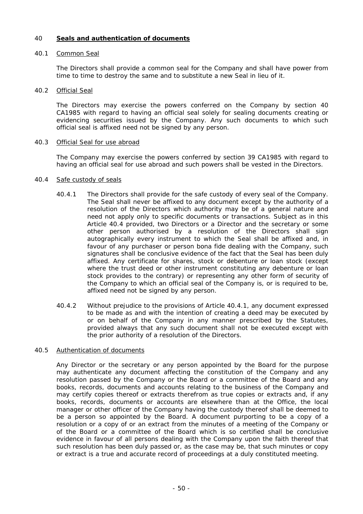# 40 **Seals and authentication of documents**

# 40.1 Common Seal

The Directors shall provide a common seal for the Company and shall have power from time to time to destroy the same and to substitute a new Seal in lieu of it.

# 40.2 Official Seal

The Directors may exercise the powers conferred on the Company by section 40 CA1985 with regard to having an official seal solely for sealing documents creating or evidencing securities issued by the Company. Any such documents to which such official seal is affixed need not be signed by any person.

## 40.3 Official Seal for use abroad

The Company may exercise the powers conferred by section 39 CA1985 with regard to having an official seal for use abroad and such powers shall be vested in the Directors.

## 40.4 Safe custody of seals

- 40.4.1 The Directors shall provide for the safe custody of every seal of the Company. The Seal shall never be affixed to any document except by the authority of a resolution of the Directors which authority may be of a general nature and need not apply only to specific documents or transactions. Subject as in this Article 40.4 provided, two Directors or a Director and the secretary or some other person authorised by a resolution of the Directors shall sign autographically every instrument to which the Seal shall be affixed and, in favour of any purchaser or person bona fide dealing with the Company, such signatures shall be conclusive evidence of the fact that the Seal has been duly affixed. Any certificate for shares, stock or debenture or loan stock (except where the trust deed or other instrument constituting any debenture or loan stock provides to the contrary) or representing any other form of security of the Company to which an official seal of the Company is, or is required to be, affixed need not be signed by any person.
- 40.4.2 Without prejudice to the provisions of Article 40.4.1, any document expressed to be made as and with the intention of creating a deed may be executed by or on behalf of the Company in any manner prescribed by the Statutes, provided always that any such document shall not be executed except with the prior authority of a resolution of the Directors.

# 40.5 Authentication of documents

Any Director or the secretary or any person appointed by the Board for the purpose may authenticate any document affecting the constitution of the Company and any resolution passed by the Company or the Board or a committee of the Board and any books, records, documents and accounts relating to the business of the Company and may certify copies thereof or extracts therefrom as true copies or extracts and, if any books, records, documents or accounts are elsewhere than at the Office, the local manager or other officer of the Company having the custody thereof shall be deemed to be a person so appointed by the Board. A document purporting to be a copy of a resolution or a copy of or an extract from the minutes of a meeting of the Company or of the Board or a committee of the Board which is so certified shall be conclusive evidence in favour of all persons dealing with the Company upon the faith thereof that such resolution has been duly passed or, as the case may be, that such minutes or copy or extract is a true and accurate record of proceedings at a duly constituted meeting.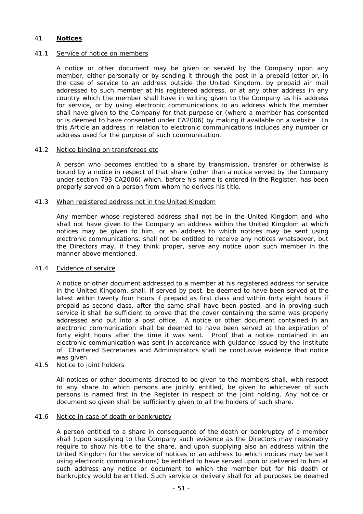# 41 **Notices**

## 41.1 Service of notice on members

A notice or other document may be given or served by the Company upon any member, either personally or by sending it through the post in a prepaid letter or, in the case of service to an address outside the United Kingdom, by prepaid air mail addressed to such member at his registered address, or at any other address in any country which the member shall have in writing given to the Company as his address for service, or by using electronic communications to an address which the member shall have given to the Company for that purpose or (where a member has consented or is deemed to have consented under CA2006) by making it available on a website. In this Article an address in relation to electronic communications includes any number or address used for the purpose of such communication.

## 41.2 Notice binding on transferees etc

A person who becomes entitled to a share by transmission, transfer or otherwise is bound by a notice in respect of that share (other than a notice served by the Company under section 793 CA2006) which, before his name is entered in the Register, has been properly served on a person from whom he derives his title.

## 41.3 When registered address not in the United Kingdom

Any member whose registered address shall not be in the United Kingdom and who shall not have given to the Company an address within the United Kingdom at which notices may be given to him, or an address to which notices may be sent using electronic communications, shall not be entitled to receive any notices whatsoever, but the Directors may, if they think proper, serve any notice upon such member in the manner above mentioned.

#### 41.4 Evidence of service

A notice or other document addressed to a member at his registered address for service in the United Kingdom, shall, if served by post, be deemed to have been served at the latest within twenty four hours if prepaid as first class and within forty eight hours if prepaid as second class, after the same shall have been posted, and in proving such service it shall be sufficient to prove that the cover containing the same was properly addressed and put into a post office. A notice or other document contained in an electronic communication shall be deemed to have been served at the expiration of forty eight hours after the time it was sent. Proof that a notice contained in an electronic communication was sent in accordance with guidance issued by the Institute of Chartered Secretaries and Administrators shall be conclusive evidence that notice was given.

# 41.5 Notice to joint holders

All notices or other documents directed to be given to the members shall, with respect to any share to which persons are jointly entitled, be given to whichever of such persons is named first in the Register in respect of the joint holding. Any notice or document so given shall be sufficiently given to all the holders of such share.

#### 41.6 Notice in case of death or bankruptcy

A person entitled to a share in consequence of the death or bankruptcy of a member shall (upon supplying to the Company such evidence as the Directors may reasonably require to show his title to the share, and upon supplying also an address within the United Kingdom for the service of notices or an address to which notices may be sent using electronic communications) be entitled to have served upon or delivered to him at such address any notice or document to which the member but for his death or bankruptcy would be entitled. Such service or delivery shall for all purposes be deemed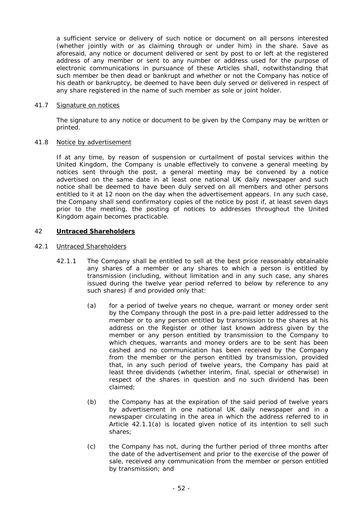a sufficient service or delivery of such notice or document on all persons interested (whether jointly with or as claiming through or under him) in the share. Save as aforesaid, any notice or document delivered or sent by post to or left at the registered address of any member or sent to any number or address used for the purpose of electronic communications in pursuance of these Articles shall, notwithstanding that such member be then dead or bankrupt and whether or not the Company has notice of his death or bankruptcy, be deemed to have been duly served or delivered in respect of any share registered in the name of such member as sole or joint holder.

# 41.7 Signature on notices

The signature to any notice or document to be given by the Company may be written or printed.

# 41.8 Notice by advertisement

If at any time, by reason of suspension or curtailment of postal services within the United Kingdom, the Company is unable effectively to convene a general meeting by notices sent through the post, a general meeting may be convened by a notice advertised on the same date in at least one national UK daily newspaper and such notice shall be deemed to have been duly served on all members and other persons entitled to it at 12 noon on the day when the advertisement appears. In any such case, the Company shall send confirmatory copies of the notice by post if, at least seven days prior to the meeting, the posting of notices to addresses throughout the United Kingdom again becomes practicable.

# 42 **Untraced Shareholders**

# 42.1 Untraced Shareholders

- 42.1.1 The Company shall be entitled to sell at the best price reasonably obtainable any shares of a member or any shares to which a person is entitled by transmission (including, without limitation and in any such case, any shares issued during the twelve year period referred to below by reference to any such shares) if and provided only that:
	- (a) for a period of twelve years no cheque, warrant or money order sent by the Company through the post in a pre-paid letter addressed to the member or to any person entitled by transmission to the shares at his address on the Register or other last known address given by the member or any person entitled by transmission to the Company to which cheques, warrants and money orders are to be sent has been cashed and no communication has been received by the Company from the member or the person entitled by transmission, provided that, in any such period of twelve years, the Company has paid at least three dividends (whether interim, final, special or otherwise) in respect of the shares in question and no such dividend has been claimed;
	- (b) the Company has at the expiration of the said period of twelve years by advertisement in one national UK daily newspaper and in a newspaper circulating in the area in which the address referred to in Article 42.1.1(a) is located given notice of its intention to sell such shares;
	- (c) the Company has not, during the further period of three months after the date of the advertisement and prior to the exercise of the power of sale, received any communication from the member or person entitled by transmission; and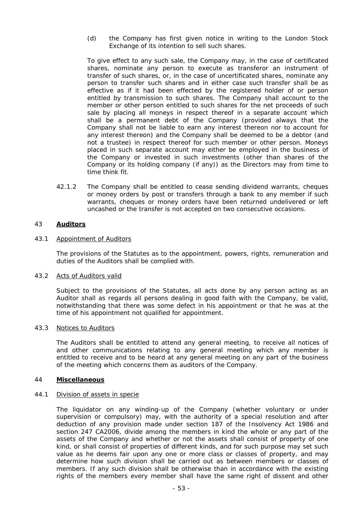(d) the Company has first given notice in writing to the London Stock Exchange of its intention to sell such shares.

To give effect to any such sale, the Company may, in the case of certificated shares, nominate any person to execute as transferor an instrument of transfer of such shares, or, in the case of uncertificated shares, nominate any person to transfer such shares and in either case such transfer shall be as effective as if it had been effected by the registered holder of or person entitled by transmission to such shares. The Company shall account to the member or other person entitled to such shares for the net proceeds of such sale by placing all moneys in respect thereof in a separate account which shall be a permanent debt of the Company (provided always that the Company shall not be liable to earn any interest thereon nor to account for any interest thereon) and the Company shall be deemed to be a debtor (and not a trustee) in respect thereof for such member or other person. Moneys placed in such separate account may either be employed in the business of the Company or invested in such investments (other than shares of the Company or its holding company (if any)) as the Directors may from time to time think fit.

42.1.2 The Company shall be entitled to cease sending dividend warrants, cheques or money orders by post or transfers through a bank to any member if such warrants, cheques or money orders have been returned undelivered or left uncashed or the transfer is not accepted on two consecutive occasions.

# 43 **Auditors**

# 43.1 Appointment of Auditors

The provisions of the Statutes as to the appointment, powers, rights, remuneration and duties of the Auditors shall be complied with.

#### 43.2 Acts of Auditors valid

Subject to the provisions of the Statutes, all acts done by any person acting as an Auditor shall as regards all persons dealing in good faith with the Company, be valid, notwithstanding that there was some defect in his appointment or that he was at the time of his appointment not qualified for appointment.

#### 43.3 Notices to Auditors

The Auditors shall be entitled to attend any general meeting, to receive all notices of and other communications relating to any general meeting which any member is entitled to receive and to be heard at any general meeting on any part of the business of the meeting which concerns them as auditors of the Company.

## 44 **Miscellaneous**

## 44.1 Division of assets in specie

The liquidator on any winding-up of the Company (whether voluntary or under supervision or compulsory) may, with the authority of a special resolution and after deduction of any provision made under section 187 of the Insolvency Act 1986 and section 247 CA2006, divide among the members in kind the whole or any part of the assets of the Company and whether or not the assets shall consist of property of one kind, or shall consist of properties of different kinds, and for such purpose may set such value as he deems fair upon any one or more class or classes of property, and may determine how such division shall be carried out as between members or classes of members. If any such division shall be otherwise than in accordance with the existing rights of the members every member shall have the same right of dissent and other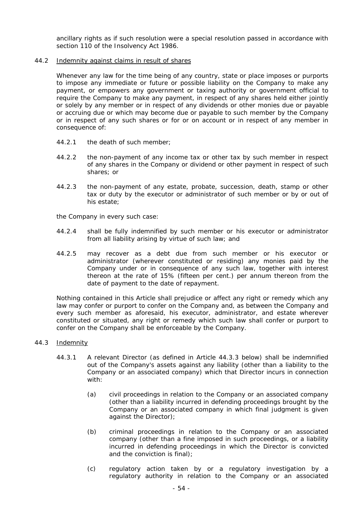ancillary rights as if such resolution were a special resolution passed in accordance with section 110 of the Insolvency Act 1986.

## 44.2 Indemnity against claims in result of shares

Whenever any law for the time being of any country, state or place imposes or purports to impose any immediate or future or possible liability on the Company to make any payment, or empowers any government or taxing authority or government official to require the Company to make any payment, in respect of any shares held either jointly or solely by any member or in respect of any dividends or other monies due or payable or accruing due or which may become due or payable to such member by the Company or in respect of any such shares or for or on account or in respect of any member in consequence of:

- 44.2.1 the death of such member;
- 44.2.2 the non-payment of any income tax or other tax by such member in respect of any shares in the Company or dividend or other payment in respect of such shares; or
- 44.2.3 the non-payment of any estate, probate, succession, death, stamp or other tax or duty by the executor or administrator of such member or by or out of his estate;

the Company in every such case:

- 44.2.4 shall be fully indemnified by such member or his executor or administrator from all liability arising by virtue of such law; and
- 44.2.5 may recover as a debt due from such member or his executor or administrator (wherever constituted or residing) any monies paid by the Company under or in consequence of any such law, together with interest thereon at the rate of 15% (fifteen per cent.) per annum thereon from the date of payment to the date of repayment.

Nothing contained in this Article shall prejudice or affect any right or remedy which any law may confer or purport to confer on the Company and, as between the Company and every such member as aforesaid, his executor, administrator, and estate wherever constituted or situated, any right or remedy which such law shall confer or purport to confer on the Company shall be enforceable by the Company.

# 44.3 Indemnity

- 44.3.1 A relevant Director (as defined in Article 44.3.3 below) shall be indemnified out of the Company's assets against any liability (other than a liability to the Company or an associated company) which that Director incurs in connection with:
	- (a) civil proceedings in relation to the Company or an associated company (other than a liability incurred in defending proceedings brought by the Company or an associated company in which final judgment is given against the Director);
	- (b) criminal proceedings in relation to the Company or an associated company (other than a fine imposed in such proceedings, or a liability incurred in defending proceedings in which the Director is convicted and the conviction is final);
	- (c) regulatory action taken by or a regulatory investigation by a regulatory authority in relation to the Company or an associated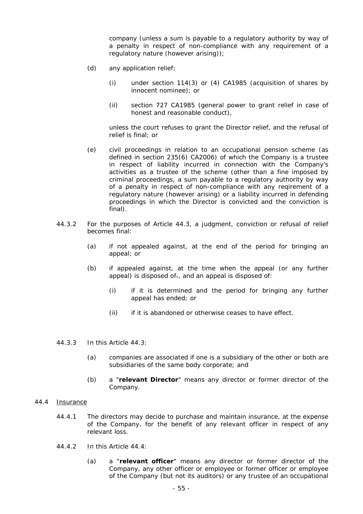company (unless a sum is payable to a regulatory authority by way of a penalty in respect of non-compliance with any requirement of a regulatory nature (however arising));

- (d) any application relief:
	- (i) under section 114(3) or (4) CA1985 (acquisition of shares by innocent nominee); or
	- (ii) section 727 CA1985 (general power to grant relief in case of honest and reasonable conduct),

unless the court refuses to grant the Director relief, and the refusal of relief is final; or

- (e) civil proceedings in relation to an occupational pension scheme (as defined in section 235(6) CA2006) of which the Company is a trustee in respect of liability incurred in connection with the Company's activities as a trustee of the scheme (other than a fine imposed by criminal proceedings, a sum payable to a regulatory authority by way of a penalty in respect of non-compliance with any reqirement of a regulatory nature (however arising) or a liability incurred in defending proceedings in which the Director is convicted and the conviction is final).
- 44.3.2 For the purposes of Article 44.3, a judgment, conviction or refusal of relief becomes final:
	- (a) if not appealed against, at the end of the period for bringing an appeal; or
	- (b) if appealed against, at the time when the appeal (or any further appeal) is disposed of., and an appeal is disposed of:
		- (i) if it is determined and the period for bringing any further appeal has ended; or
		- (ii) if it is abandoned or otherwise ceases to have effect.
- 44.3.3 In this Article 44.3:
	- (a) companies are associated if one is a subsidiary of the other or both are subsidiaries of the same body corporate; and
	- (b) a "**relevant Director**" means any director or former director of the Company.

#### 44.4 Insurance

- 44.4.1 The directors may decide to purchase and maintain insurance, at the expense of the Company, for the benefit of any relevant officer in respect of any relevant loss.
- 44.4.2 In this Article 44.4:
	- (a) a "**relevant officer**" means any director or former director of the Company, any other officer or employee or former officer or employee of the Company (but not its auditors) or any trustee of an occupational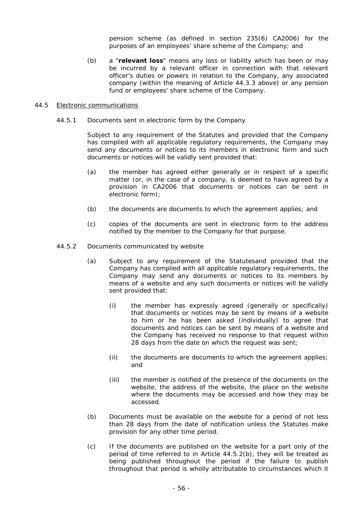pension scheme (as defined in section 235(6) CA2006) for the purposes of an employees' share scheme of the Company; and

(b) a "**relevant loss**" means any loss or liability which has been or may be incurred by a relevant officer in connection with that relevant officer's duties or powers in relation to the Company, any associated company (within the meaning of Article 44.3.3 above) or any pension fund or employees' share scheme of the Company.

#### 44.5 Electronic communications

44.5.1 Documents sent in electronic form by the Company

Subject to any requirement of the Statutes and provided that the Company has complied with all applicable regulatory requirements, the Company may send any documents or notices to its members in electronic form and such documents or notices will be validly sent provided that:

- (a) the member has agreed either generally or in respect of a specific matter (or, in the case of a company, is deemed to have agreed by a provision in CA2006 that documents or notices can be sent in electronic form);
- (b) the documents are documents to which the agreement applies; and
- (c) copies of the documents are sent in electronic form to the address notified by the member to the Company for that purpose.
- 44.5.2 Documents communicated by website
	- (a) Subject to any requirement of the Statutesand provided that the Company has complied with all applicable regulatory requirements, the Company may send any documents or notices to its members by means of a website and any such documents or notices will be validly sent provided that:
		- (i) the member has expressly agreed (generally or specifically) that documents or notices may be sent by means of a website to him or he has been asked (individually) to agree that documents and notices can be sent by means of a website and the Company has received no response to that request within 28 days from the date on which the request was sent;
		- (ii) the documents are documents to which the agreement applies; and
		- (iii) the member is notified of the presence of the documents on the website, the address of the website, the place on the website where the documents may be accessed and how they may be accessed.
	- (b) Documents must be available on the website for a period of not less than 28 days from the date of notification unless the Statutes make provision for any other time period.
	- (c) If the documents are published on the website for a part only of the period of time referred to in Article 44.5.2(b), they will be treated as being published throughout the period if the failure to publish throughout that period is wholly attributable to circumstances which it